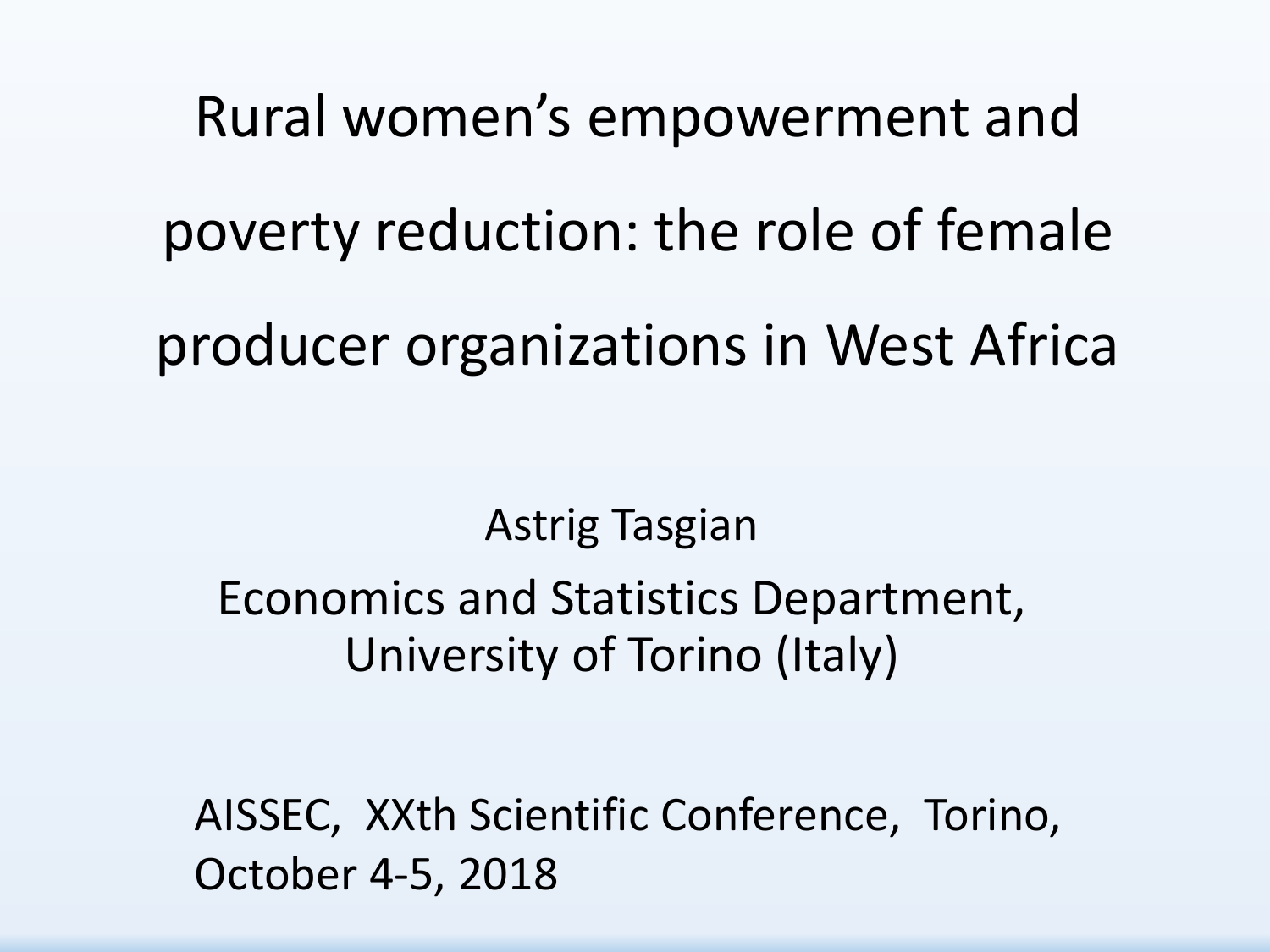Rural women's empowerment and poverty reduction: the role of female producer organizations in West Africa

Astrig Tasgian Economics and Statistics Department, University of Torino (Italy)

AISSEC, XXth Scientific Conference, Torino, October 4-5, 2018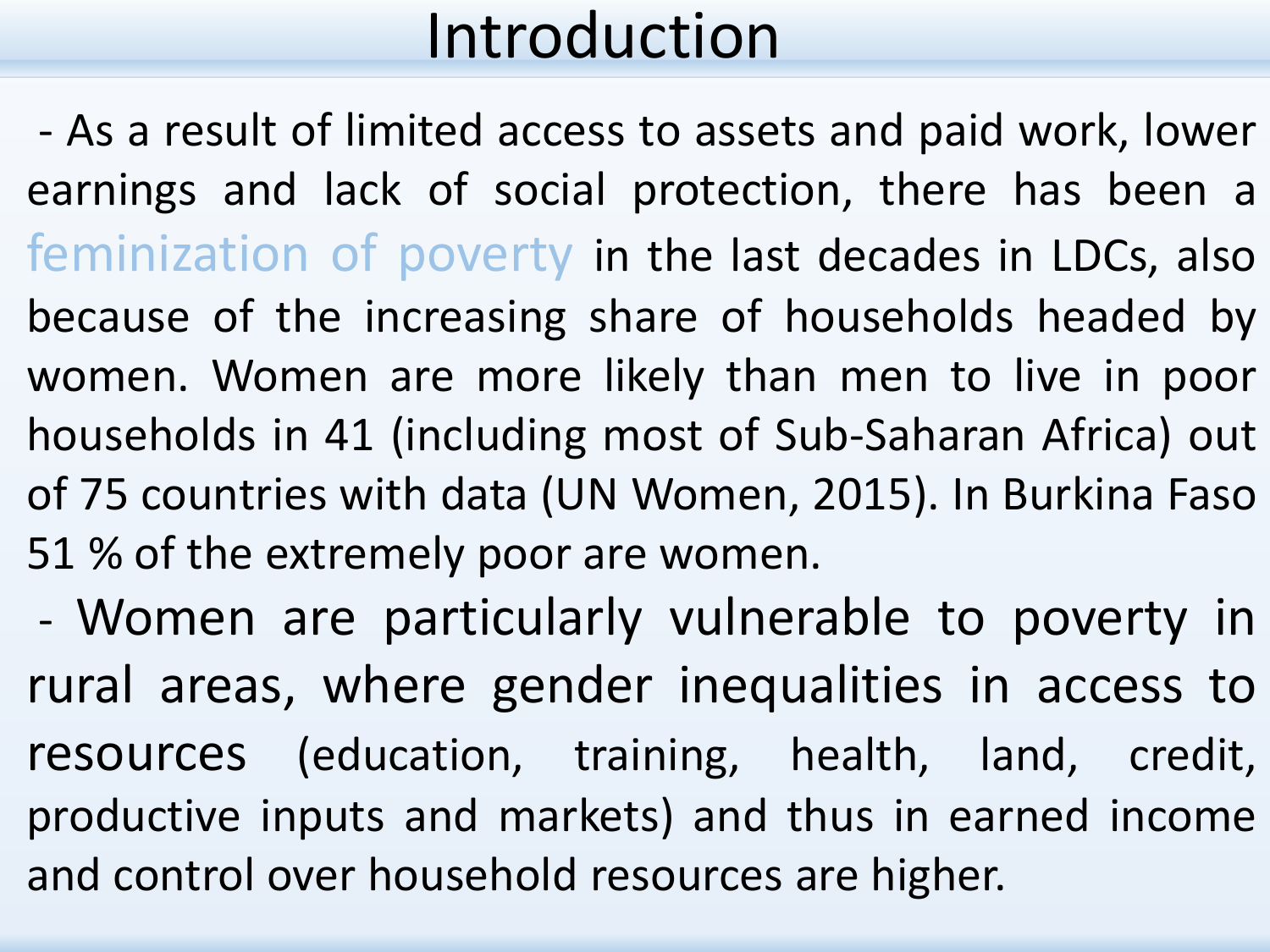- As a result of limited access to assets and paid work, lower earnings and lack of social protection, there has been a feminization of poverty in the last decades in LDCs, also because of the increasing share of households headed by women. Women are more likely than men to live in poor households in 41 (including most of Sub-Saharan Africa) out of 75 countries with data (UN Women, 2015). In Burkina Faso 51 % of the extremely poor are women.

- Women are particularly vulnerable to poverty in rural areas, where gender inequalities in access to resources (education, training, health, land, credit, productive inputs and markets) and thus in earned income and control over household resources are higher.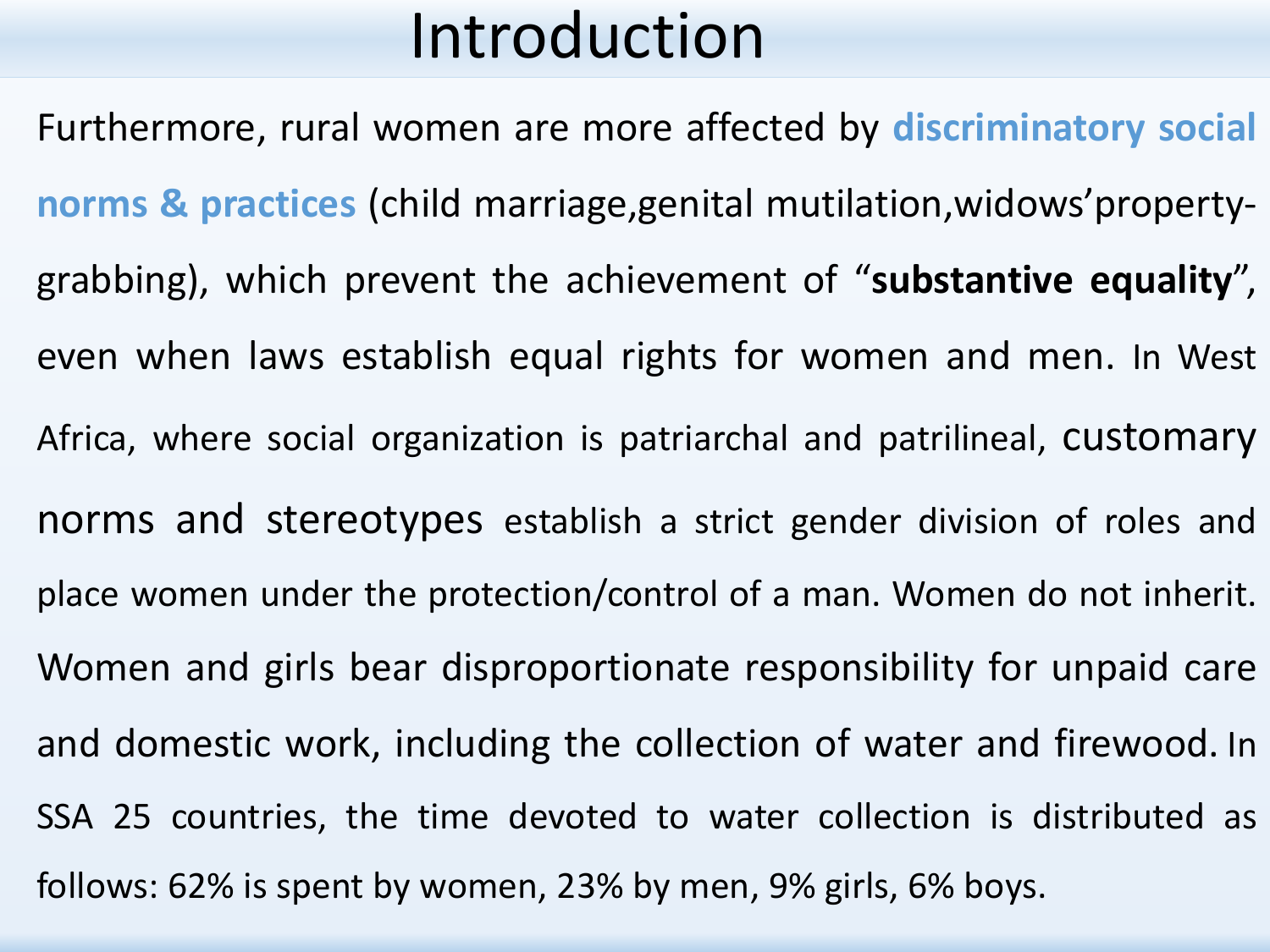Furthermore, rural women are more affected by **discriminatory social norms & practices** (child marriage,genital mutilation,widows'propertygrabbing), which prevent the achievement of "**substantive equality**", even when laws establish equal rights for women and men. In West Africa, where social organization is patriarchal and patrilineal, customary norms and stereotypes establish a strict gender division of roles and place women under the protection/control of a man. Women do not inherit. Women and girls bear disproportionate responsibility for unpaid care and domestic work, including the collection of water and firewood. In SSA 25 countries, the time devoted to water collection is distributed as follows: 62% is spent by women, 23% by men, 9% girls, 6% boys.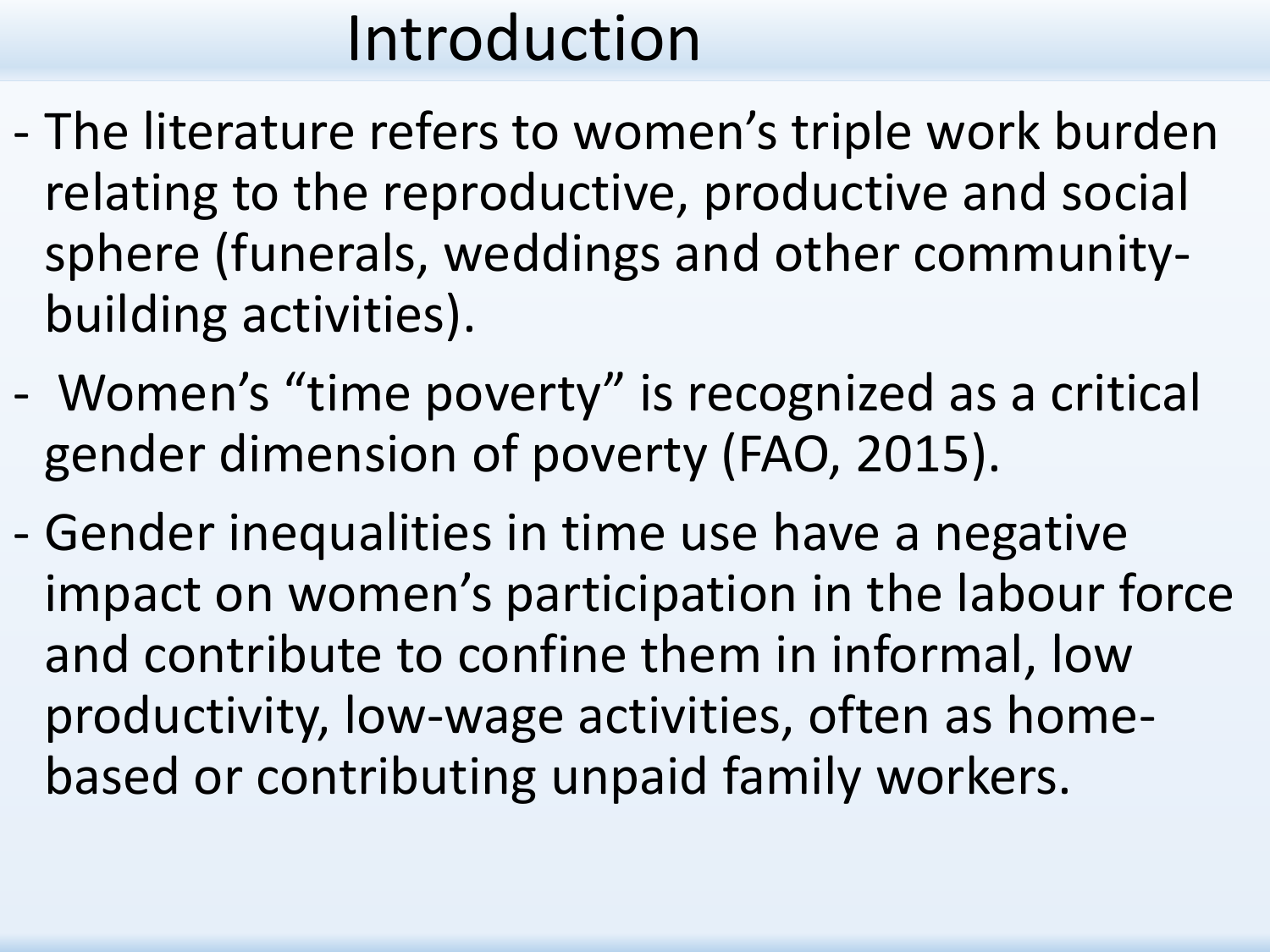- The literature refers to women's triple work burden relating to the reproductive, productive and social sphere (funerals, weddings and other communitybuilding activities).
- Women's "time poverty" is recognized as a critical gender dimension of poverty (FAO, 2015).
- Gender inequalities in time use have a negative impact on women's participation in the labour force and contribute to confine them in informal, low productivity, low-wage activities, often as homebased or contributing unpaid family workers.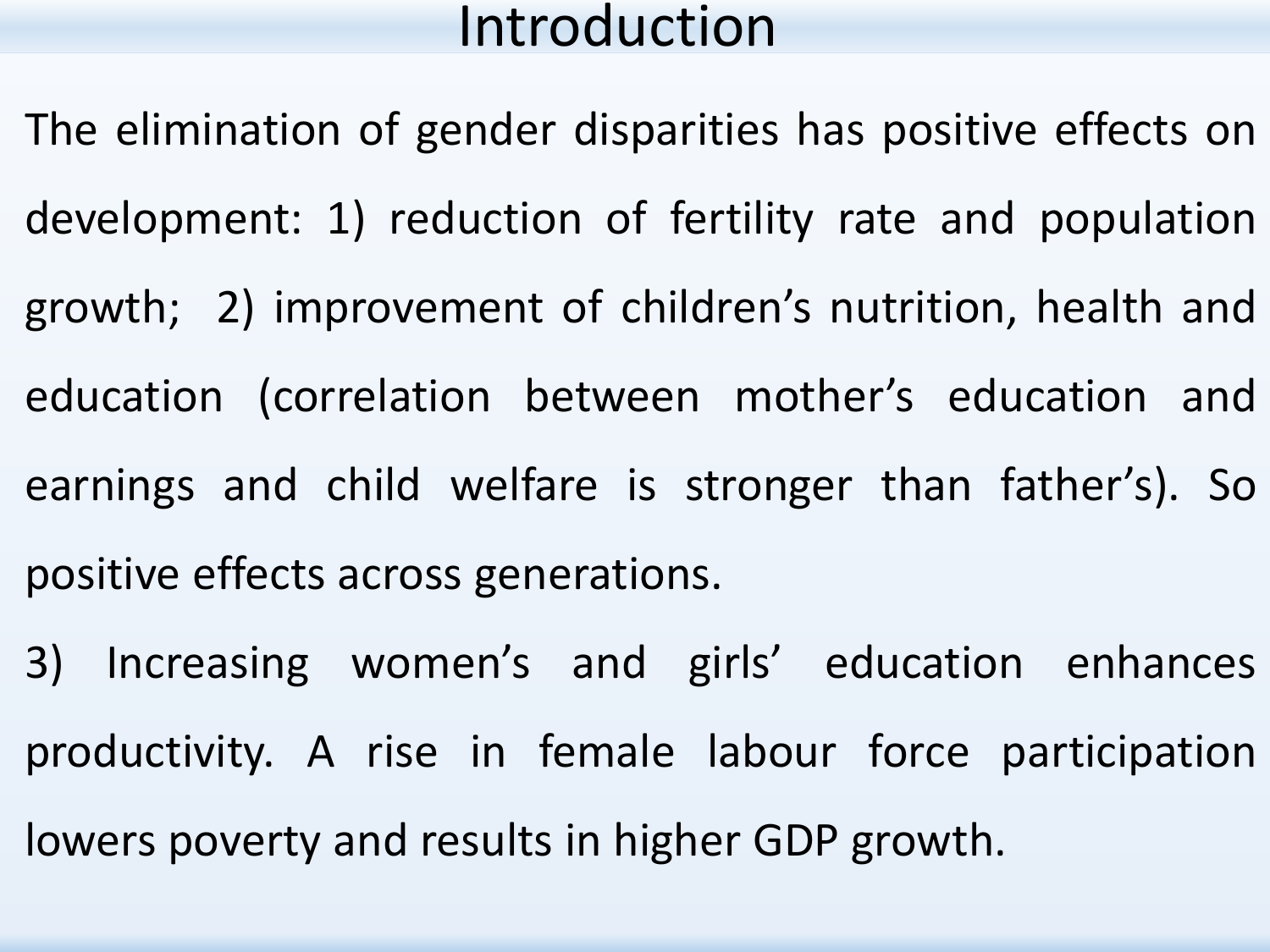- The elimination of gender disparities has positive effects on development: 1) reduction of fertility rate and population growth; 2) improvement of children's nutrition, health and education (correlation between mother's education and earnings and child welfare is stronger than father's). So positive effects across generations.
- 3) Increasing women's and girls' education enhances productivity. A rise in female labour force participation lowers poverty and results in higher GDP growth.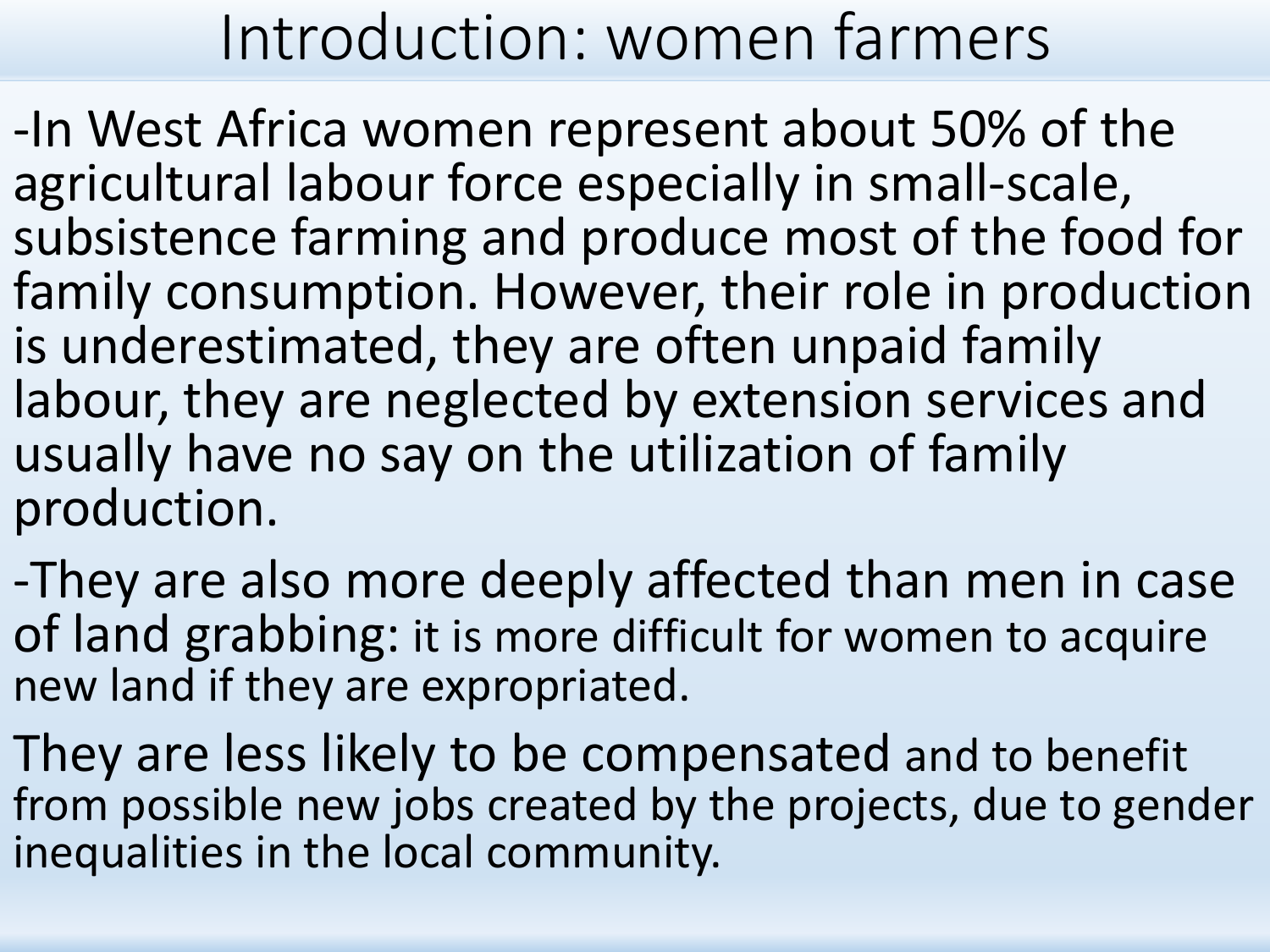## Introduction: women farmers

-In West Africa women represent about 50% of the agricultural labour force especially in small-scale, subsistence farming and produce most of the food for family consumption. However, their role in production is underestimated, they are often unpaid family labour, they are neglected by extension services and usually have no say on the utilization of family production.

-They are also more deeply affected than men in case of land grabbing: it is more difficult for women to acquire new land if they are expropriated.

They are less likely to be compensated and to benefit from possible new jobs created by the projects, due to gender inequalities in the local community.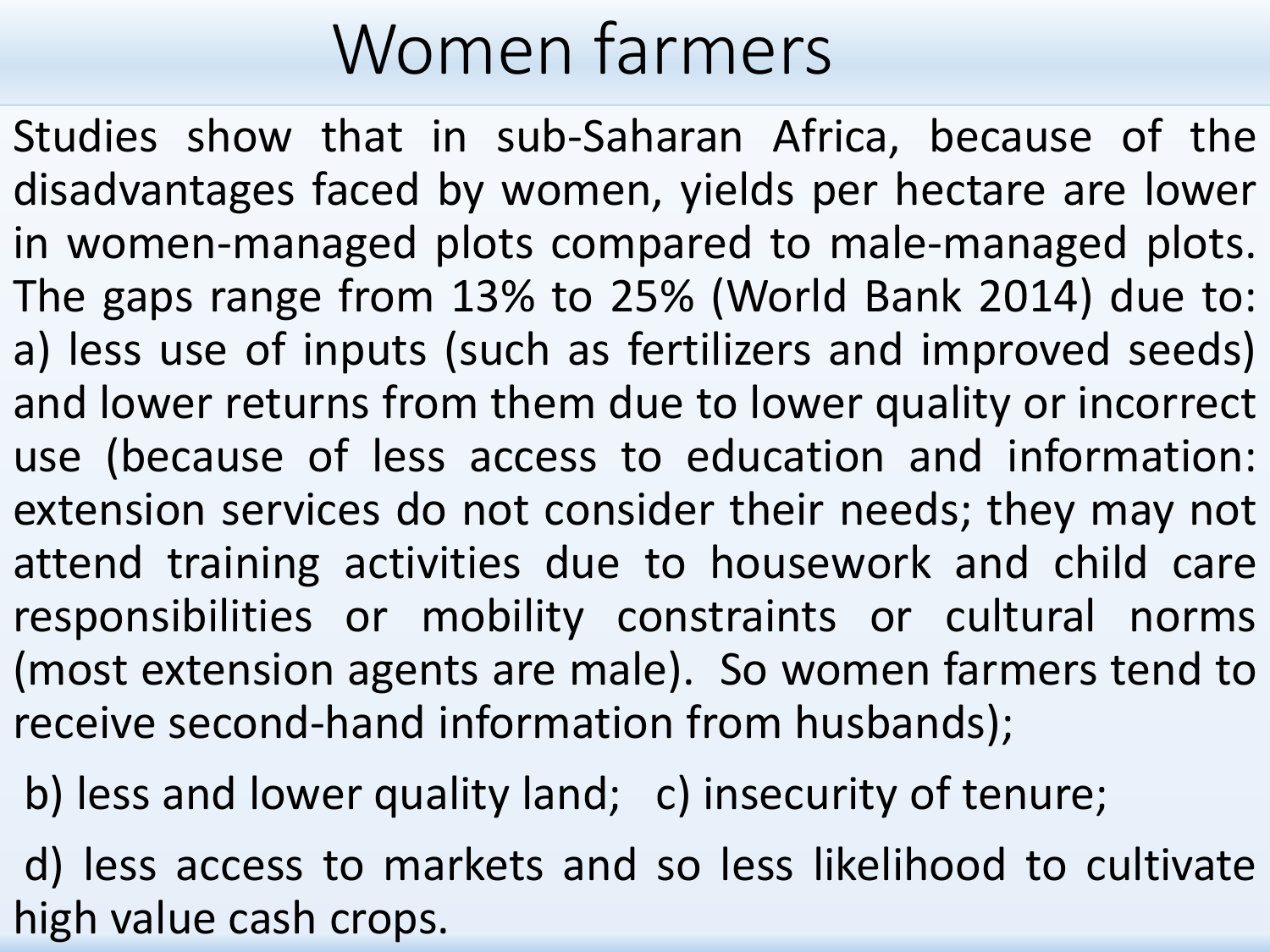# Women farmers

Studies show that in sub-Saharan Africa, because of the disadvantages faced by women, yields per hectare are lower in women-managed plots compared to male-managed plots. The gaps range from 13% to 25% (World Bank 2014) due to: a) less use of inputs (such as fertilizers and improved seeds) and lower returns from them due to lower quality or incorrect use (because of less access to education and information: extension services do not consider their needs; they may not attend training activities due to housework and child care responsibilities or mobility constraints or cultural norms (most extension agents are male). So women farmers tend to receive second-hand information from husbands);

b) less and lower quality land; c) insecurity of tenure;

d) less access to markets and so less likelihood to cultivate high value cash crops.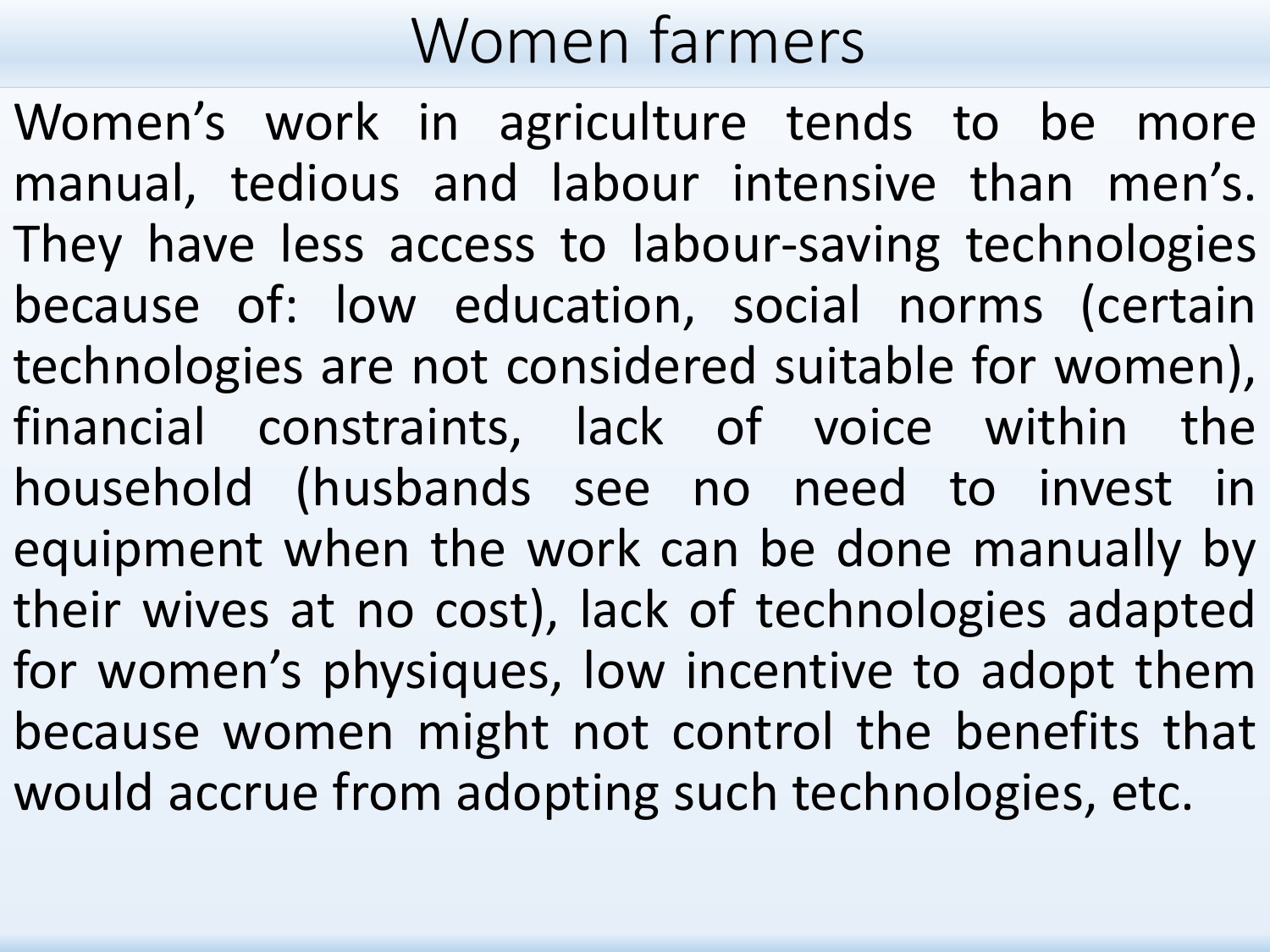## Women farmers

Women's work in agriculture tends to be more manual, tedious and labour intensive than men's. They have less access to labour-saving technologies because of: low education, social norms (certain technologies are not considered suitable for women), financial constraints, lack of voice within the household (husbands see no need to invest in equipment when the work can be done manually by their wives at no cost), lack of technologies adapted for women's physiques, low incentive to adopt them because women might not control the benefits that would accrue from adopting such technologies, etc.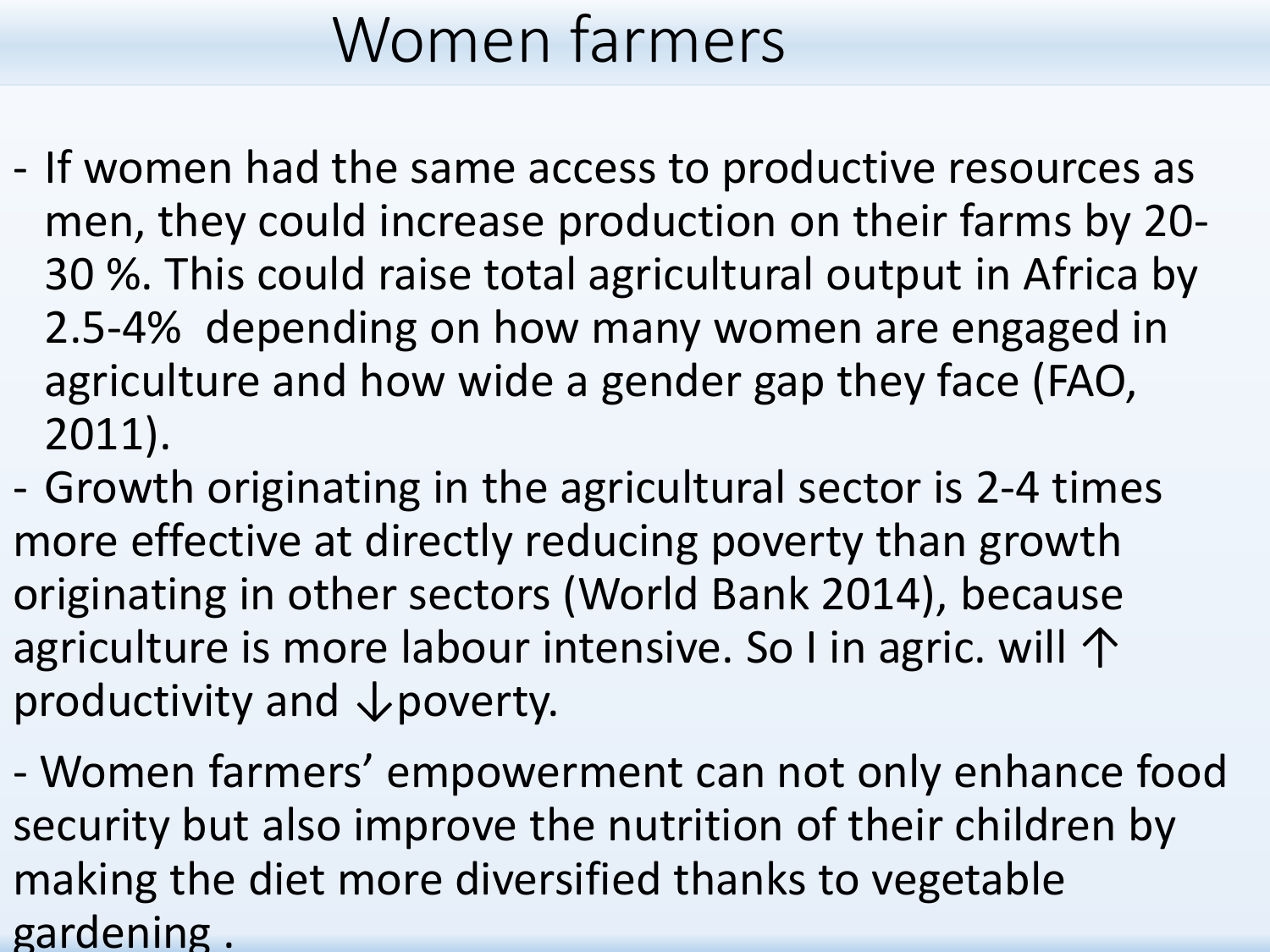## Women farmers

- If women had the same access to productive resources as men, they could increase production on their farms by 20- 30 %. This could raise total agricultural output in Africa by 2.5-4% depending on how many women are engaged in agriculture and how wide a gender gap they face (FAO, 2011).
- Growth originating in the agricultural sector is 2-4 times more effective at directly reducing poverty than growth originating in other sectors (World Bank 2014), because agriculture is more labour intensive. So I in agric. will ↑ productivity and ↓poverty.

- Women farmers' empowerment can not only enhance food security but also improve the nutrition of their children by making the diet more diversified thanks to vegetable gardening .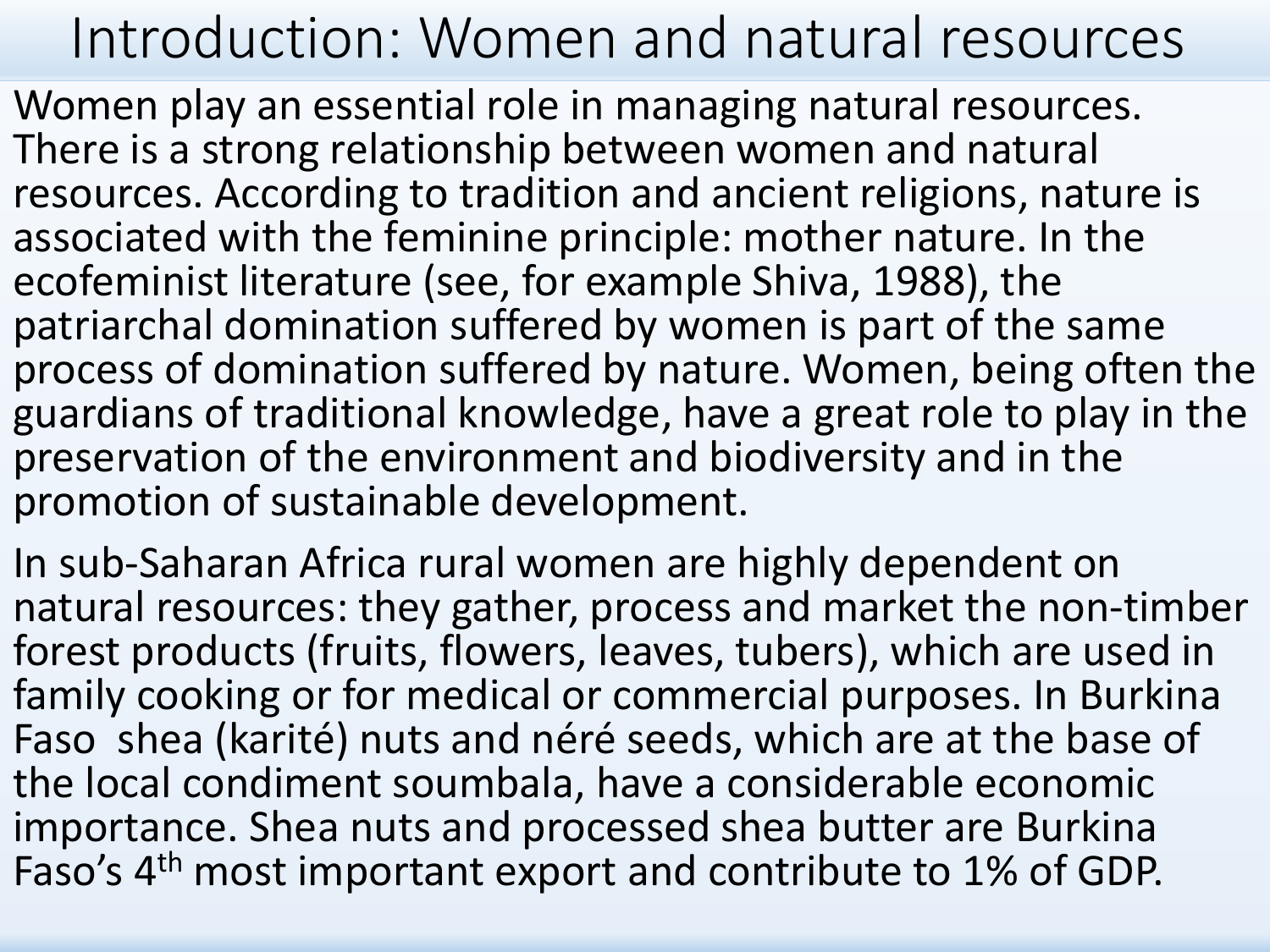### Introduction: Women and natural resources

Women play an essential role in managing natural resources. There is a strong relationship between women and natural resources. According to tradition and ancient religions, nature is associated with the feminine principle: mother nature. In the ecofeminist literature (see, for example Shiva, 1988), the patriarchal domination suffered by women is part of the same process of domination suffered by nature. Women, being often the guardians of traditional knowledge, have a great role to play in the preservation of the environment and biodiversity and in the promotion of sustainable development.

In sub-Saharan Africa rural women are highly dependent on natural resources: they gather, process and market the non-timber forest products (fruits, flowers, leaves, tubers), which are used in family cooking or for medical or commercial purposes. In Burkina Faso shea (karité) nuts and néré seeds, which are at the base of the local condiment soumbala, have a considerable economic importance. Shea nuts and processed shea butter are Burkina Faso's 4<sup>th</sup> most important export and contribute to 1% of GDP.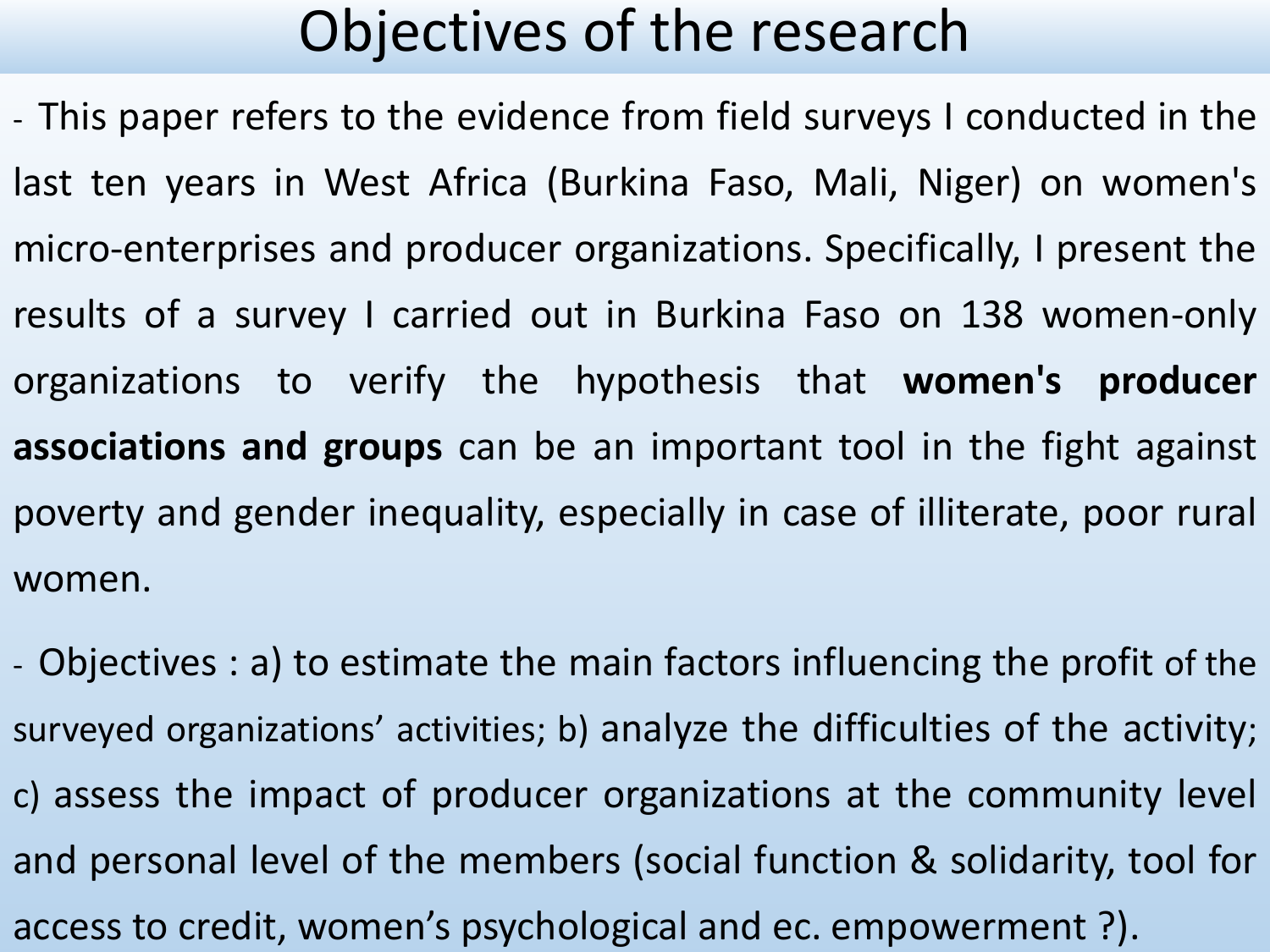### Objectives of the research

- This paper refers to the evidence from field surveys I conducted in the last ten years in West Africa (Burkina Faso, Mali, Niger) on women's micro-enterprises and producer organizations. Specifically, I present the results of a survey I carried out in Burkina Faso on 138 women-only organizations to verify the hypothesis that **women's producer associations and groups** can be an important tool in the fight against poverty and gender inequality, especially in case of illiterate, poor rural women.

- Objectives : a) to estimate the main factors influencing the profit of the surveyed organizations' activities; b) analyze the difficulties of the activity; c) assess the impact of producer organizations at the community level and personal level of the members (social function & solidarity, tool for access to credit, women's psychological and ec. empowerment ?).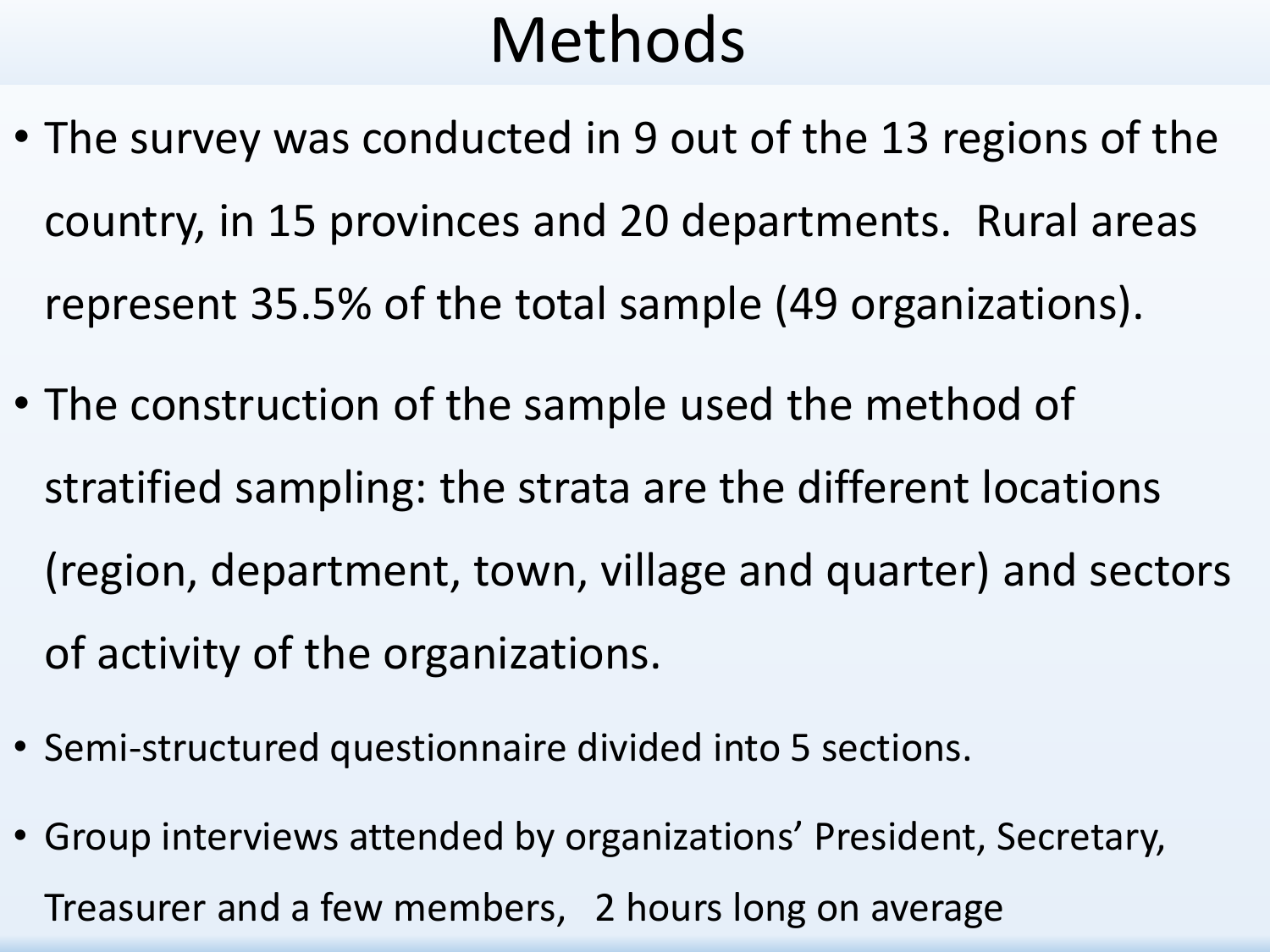## Methods

- The survey was conducted in 9 out of the 13 regions of the country, in 15 provinces and 20 departments. Rural areas represent 35.5% of the total sample (49 organizations).
- The construction of the sample used the method of stratified sampling: the strata are the different locations (region, department, town, village and quarter) and sectors of activity of the organizations.
- Semi-structured questionnaire divided into 5 sections.
- Group interviews attended by organizations' President, Secretary, Treasurer and a few members, 2 hours long on average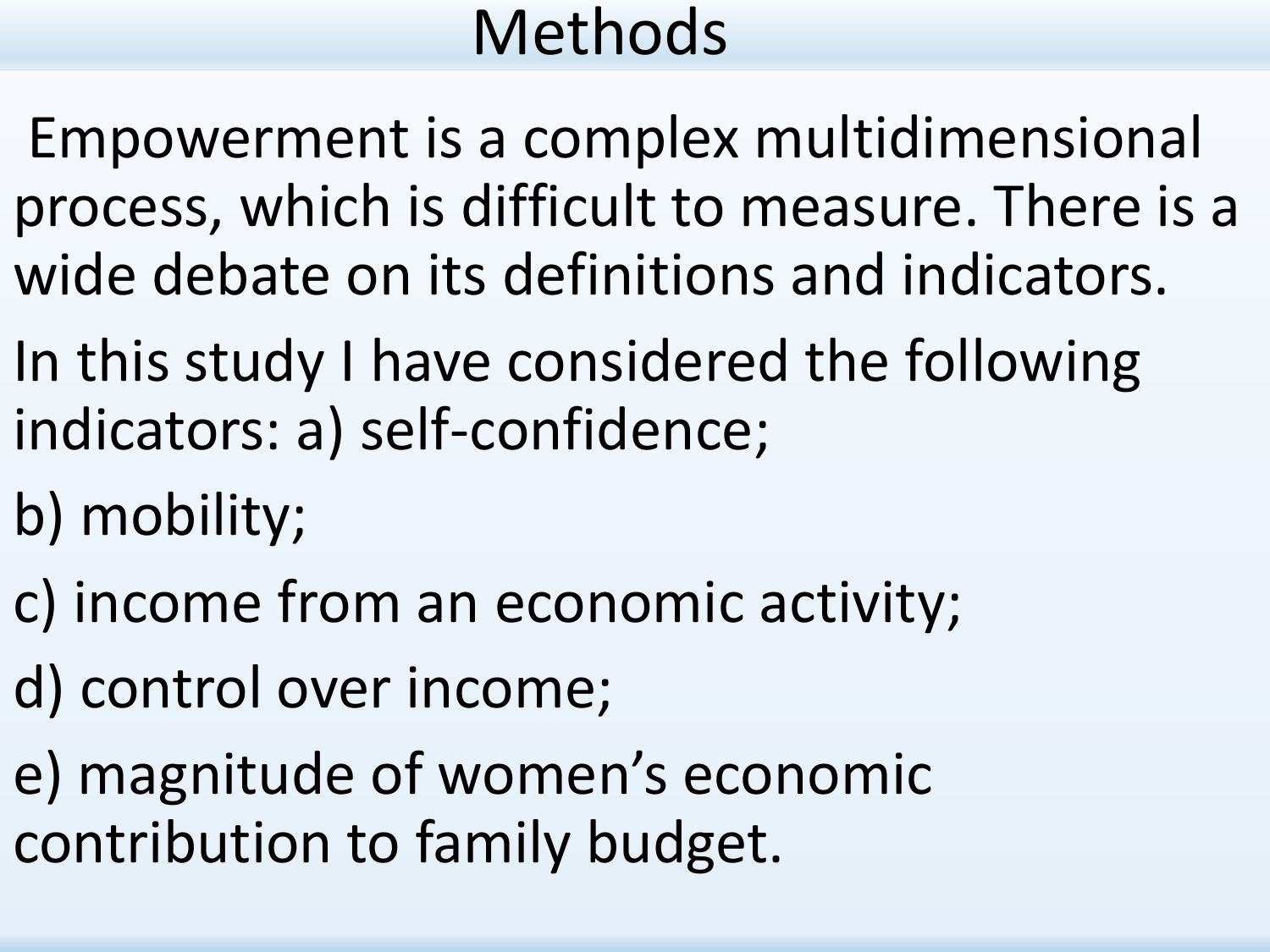## Methods

Empowerment is a complex multidimensional process, which is difficult to measure. There is a wide debate on its definitions and indicators.

- In this study I have considered the following indicators: a) self-confidence;
- b) mobility;
- c) income from an economic activity;
- d) control over income;
- e) magnitude of women's economic contribution to family budget.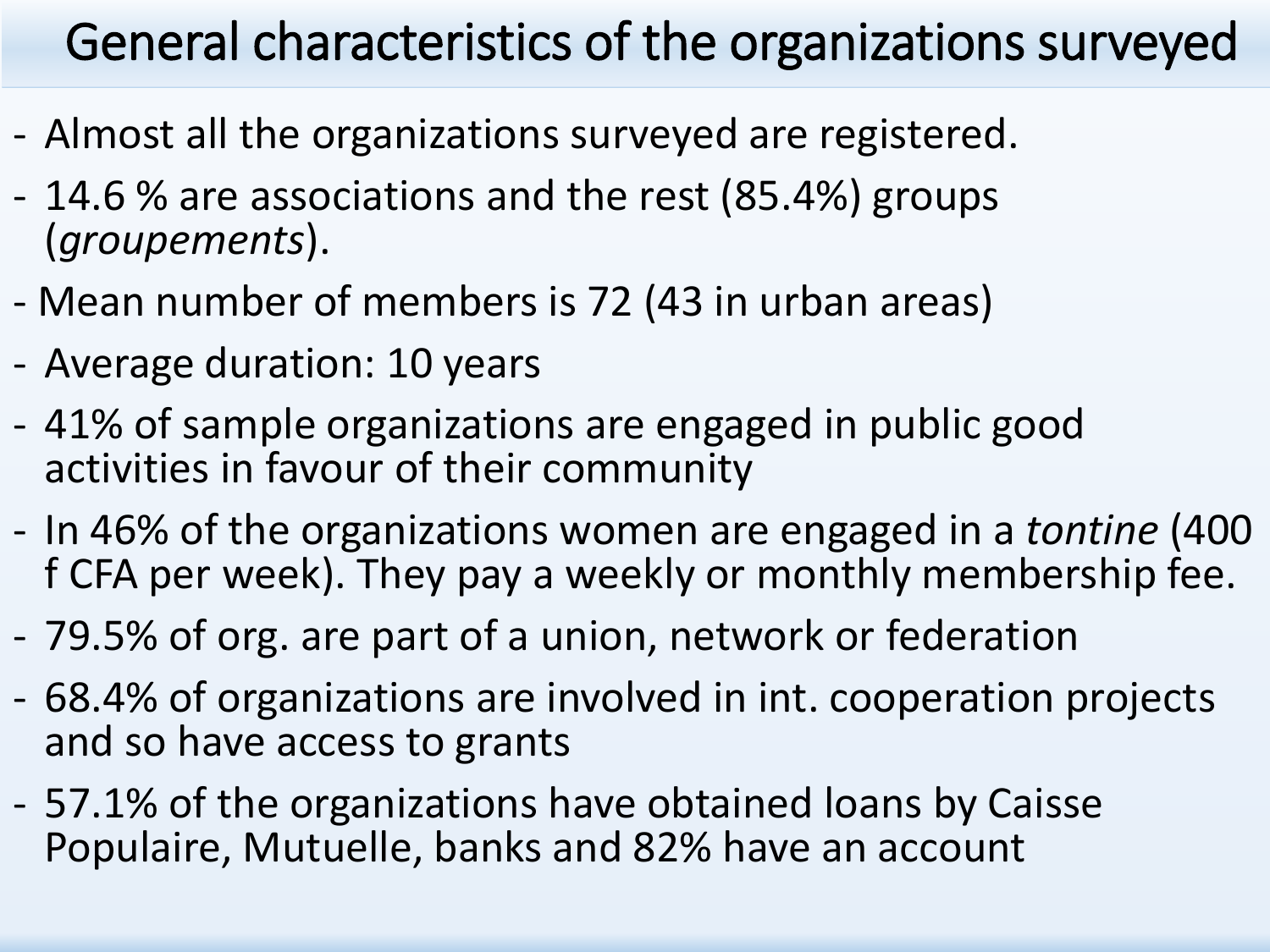#### General characteristics of the organizations surveyed

- Almost all the organizations surveyed are registered.
- 14.6 % are associations and the rest (85.4%) groups (*groupements*).
- Mean number of members is 72 (43 in urban areas)
- Average duration: 10 years
- 41% of sample organizations are engaged in public good activities in favour of their community
- In 46% of the organizations women are engaged in a *tontine* (400 f CFA per week). They pay a weekly or monthly membership fee.
- 79.5% of org. are part of a union, network or federation
- 68.4% of organizations are involved in int. cooperation projects and so have access to grants
- 57.1% of the organizations have obtained loans by Caisse Populaire, Mutuelle, banks and 82% have an account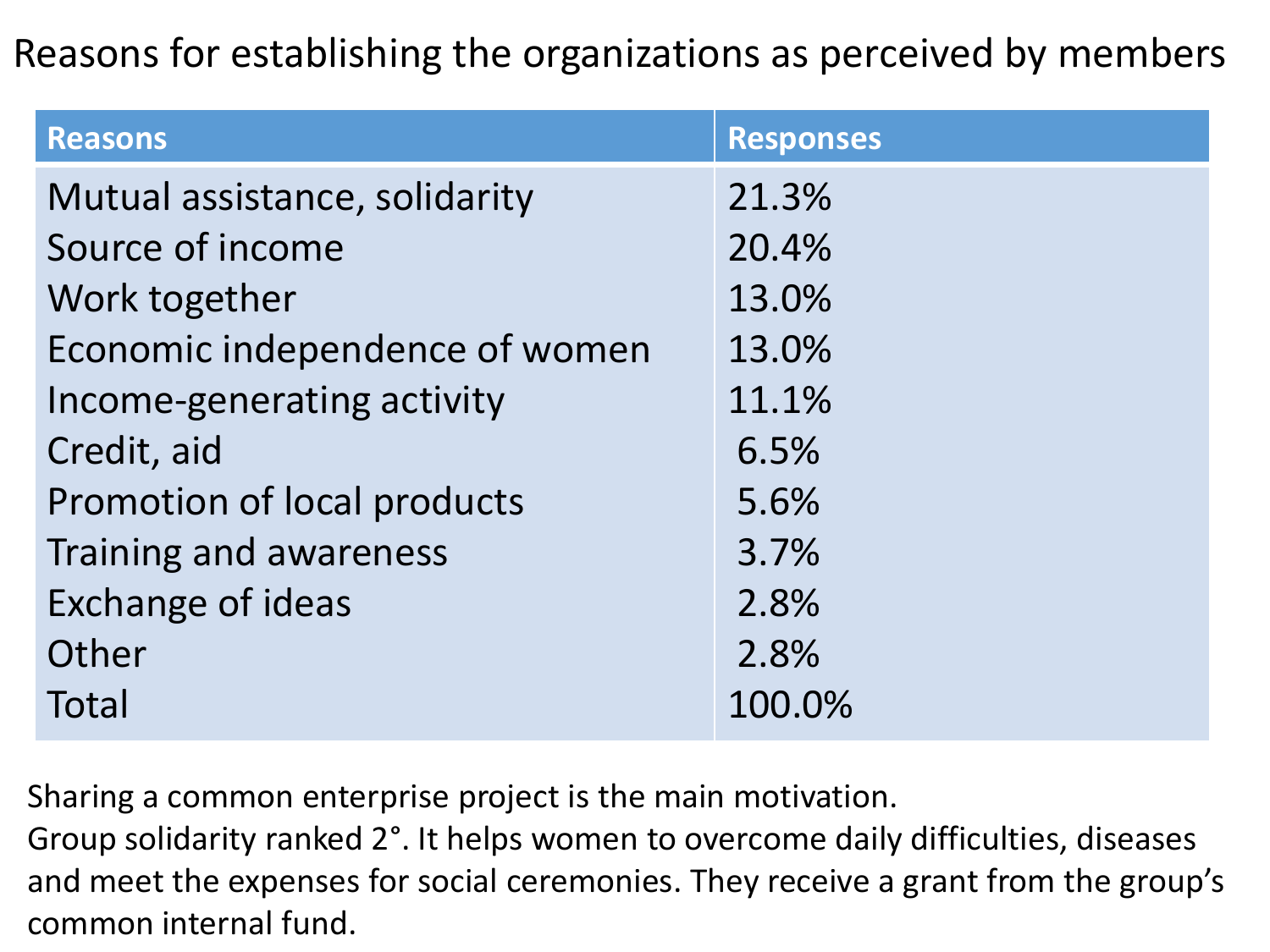#### Reasons for establishing the organizations as perceived by members

| <b>Reasons</b>                 | <b>Responses</b> |
|--------------------------------|------------------|
| Mutual assistance, solidarity  | 21.3%            |
| Source of income               | 20.4%            |
| Work together                  | 13.0%            |
| Economic independence of women | 13.0%            |
| Income-generating activity     | 11.1%            |
| Credit, aid                    | 6.5%             |
| Promotion of local products    | 5.6%             |
| Training and awareness         | 3.7%             |
| <b>Exchange of ideas</b>       | 2.8%             |
| Other                          | 2.8%             |
| Total                          | 100.0%           |

Sharing a common enterprise project is the main motivation.

Group solidarity ranked 2°. It helps women to overcome daily difficulties, diseases and meet the expenses for social ceremonies. They receive a grant from the group's common internal fund.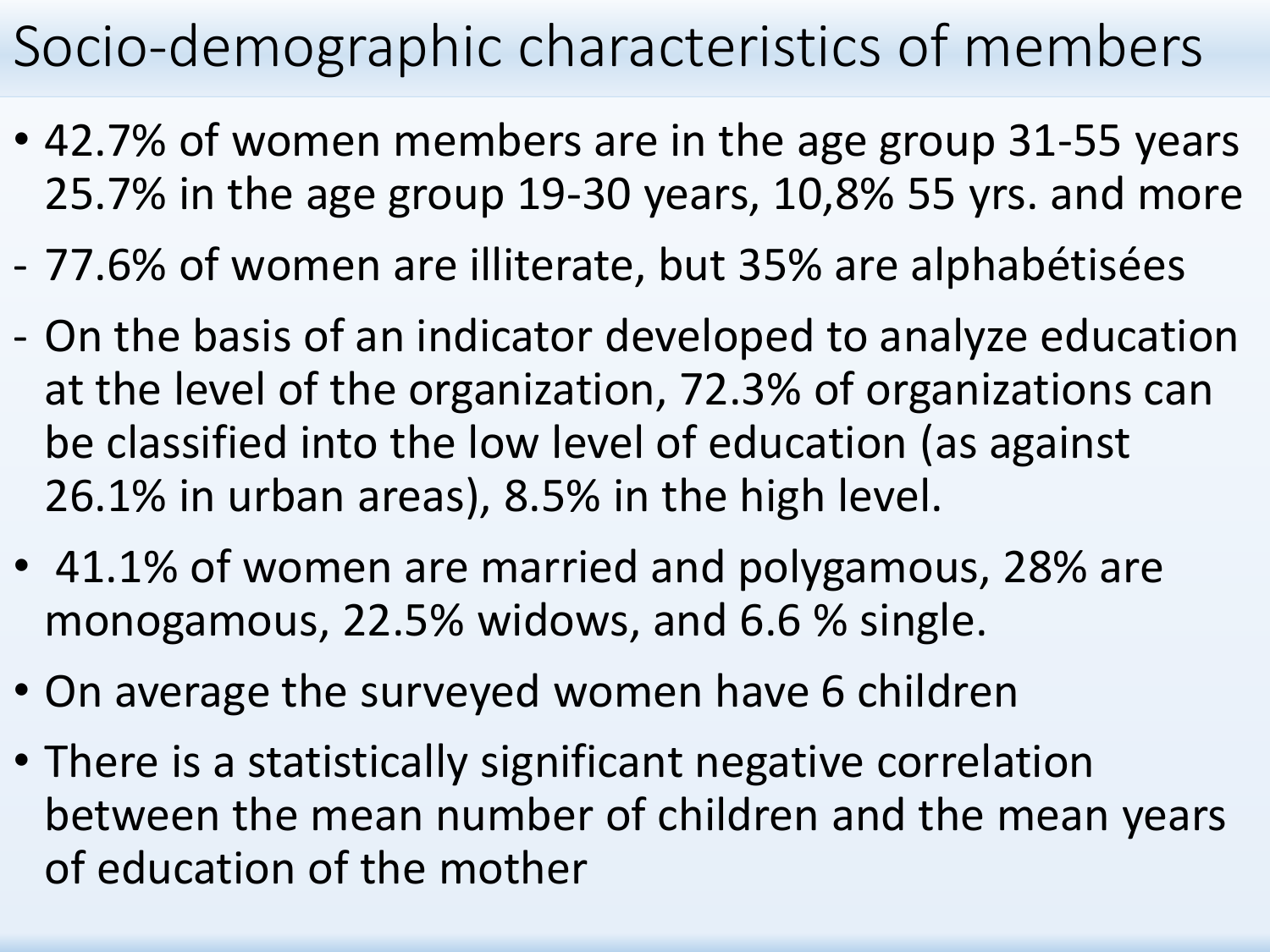### Socio-demographic characteristics of members

- 42.7% of women members are in the age group 31-55 years 25.7% in the age group 19-30 years, 10,8% 55 yrs. and more
- 77.6% of women are illiterate, but 35% are alphabétisées
- On the basis of an indicator developed to analyze education at the level of the organization, 72.3% of organizations can be classified into the low level of education (as against 26.1% in urban areas), 8.5% in the high level.
- 41.1% of women are married and polygamous, 28% are monogamous, 22.5% widows, and 6.6 % single.
- On average the surveyed women have 6 children
- There is a statistically significant negative correlation between the mean number of children and the mean years of education of the mother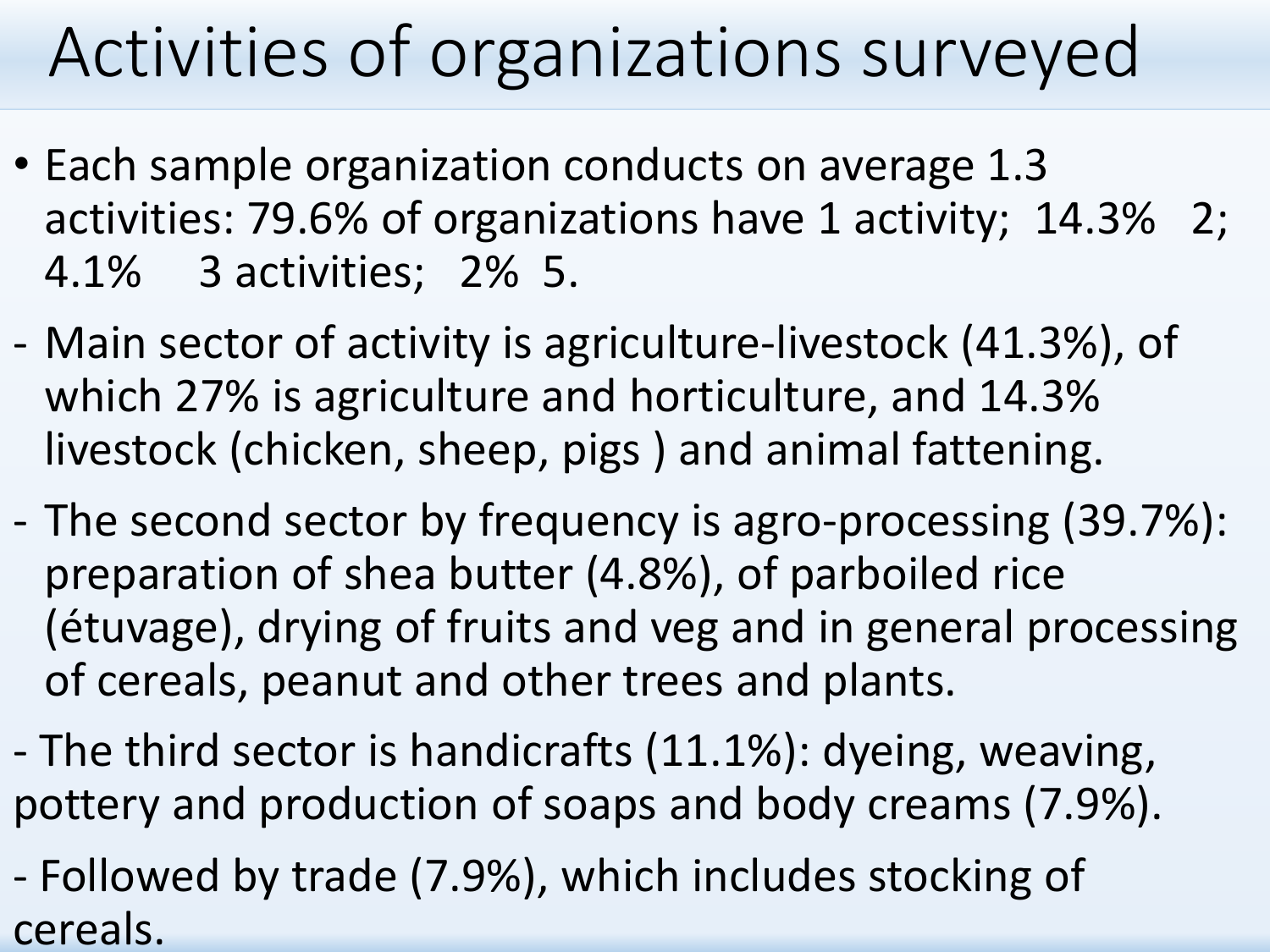## Activities of organizations surveyed

- Each sample organization conducts on average 1.3 activities: 79.6% of organizations have 1 activity; 14.3% 2; 4.1% 3 activities; 2% 5.
- Main sector of activity is agriculture-livestock (41.3%), of which 27% is agriculture and horticulture, and 14.3% livestock (chicken, sheep, pigs ) and animal fattening.
- The second sector by frequency is agro-processing (39.7%): preparation of shea butter (4.8%), of parboiled rice (étuvage), drying of fruits and veg and in general processing of cereals, peanut and other trees and plants.
- The third sector is handicrafts (11.1%): dyeing, weaving, pottery and production of soaps and body creams (7.9%).
- Followed by trade (7.9%), which includes stocking of cereals.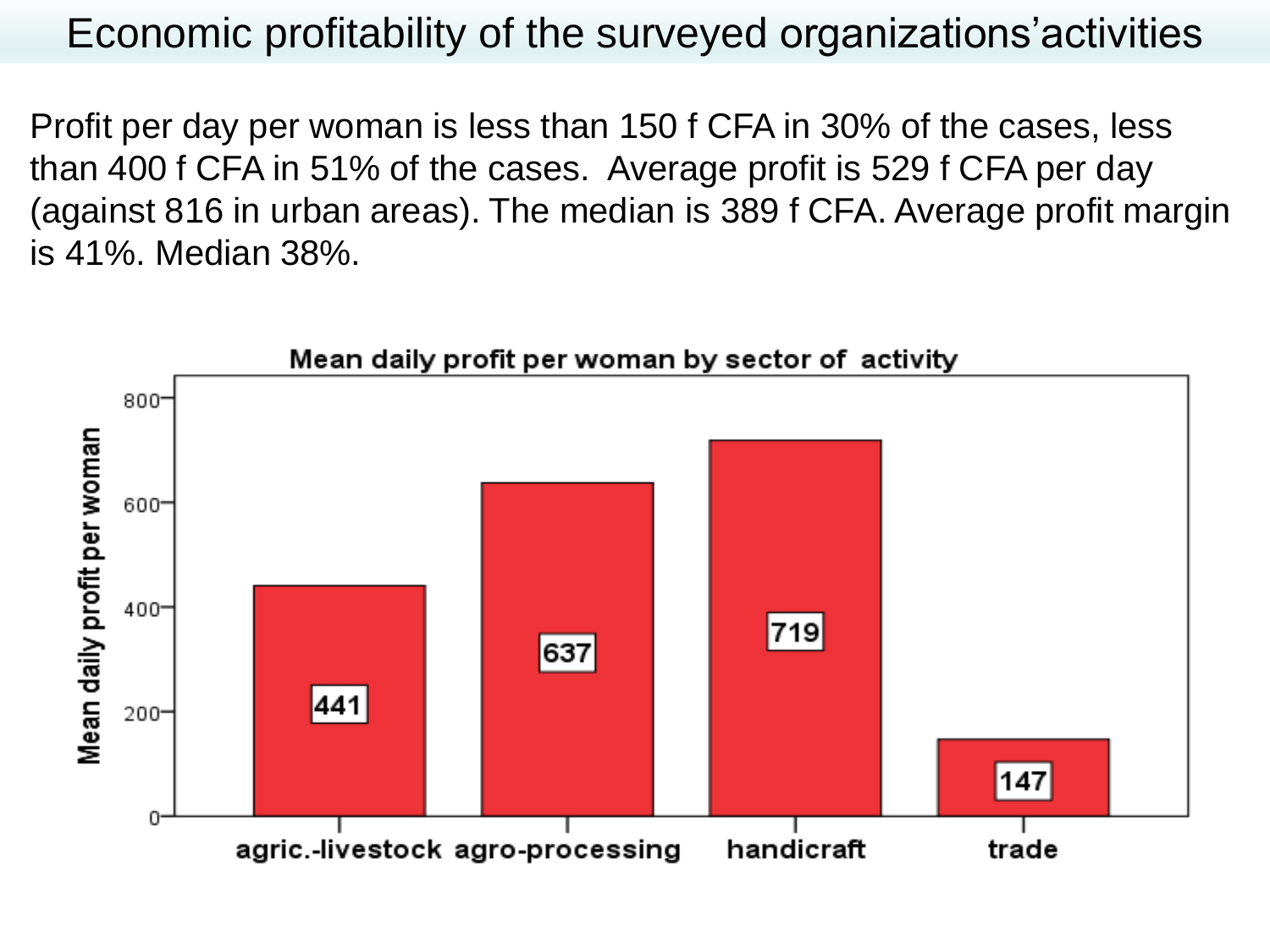Economic profitability of the surveyed organizations'activities

Profit per day per woman is less than 150 f CFA in 30% of the cases, less than 400 f CFA in 51% of the cases. Average profit is 529 f CFA per day (against 816 in urban areas). The median is 389 f CFA. Average profit margin is 41%. Median 38%.

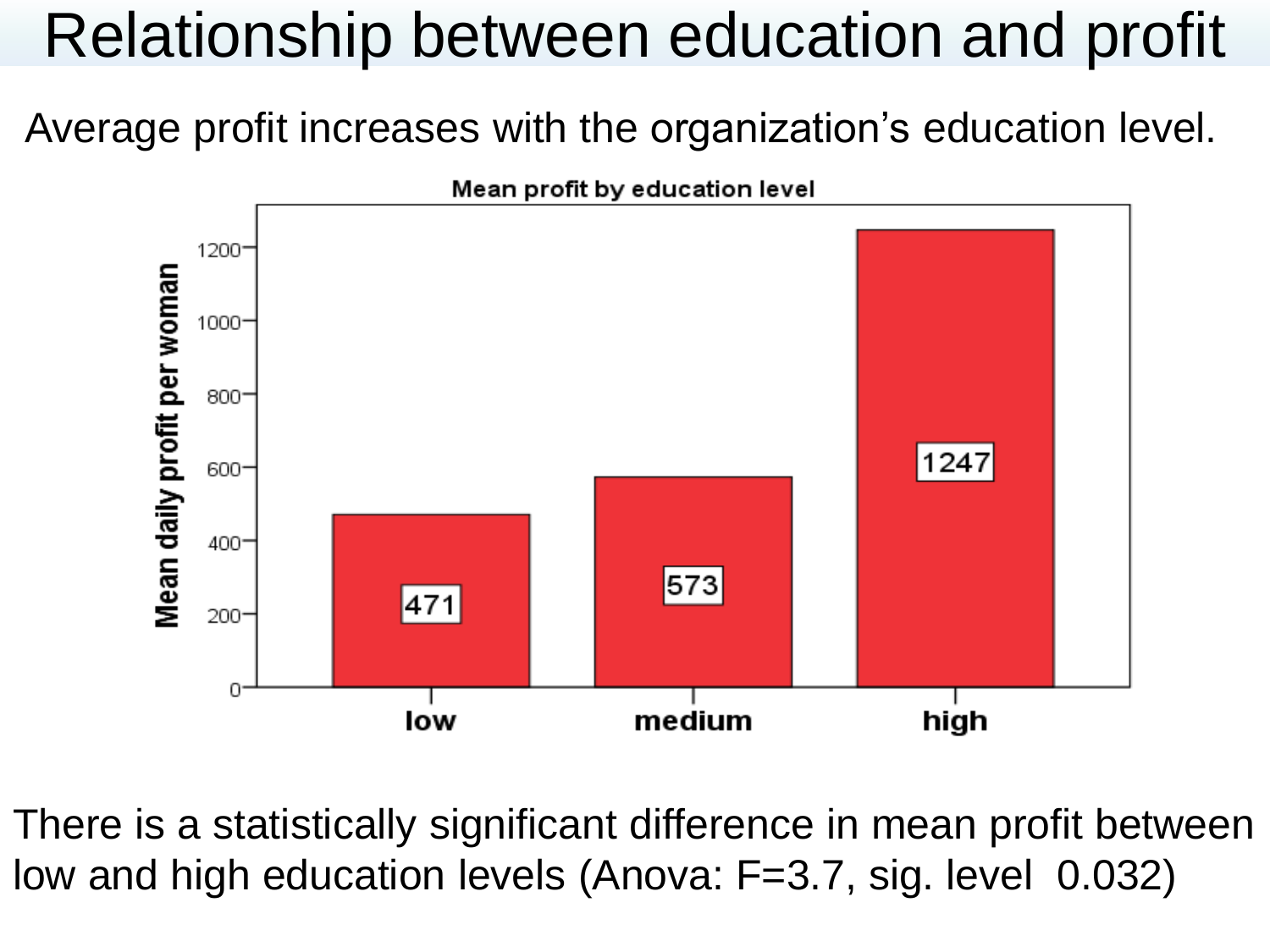## Relationship between education and profit

Average profit increases with the organization's education level.



There is a statistically significant difference in mean profit between low and high education levels (Anova: F=3.7, sig. level 0.032)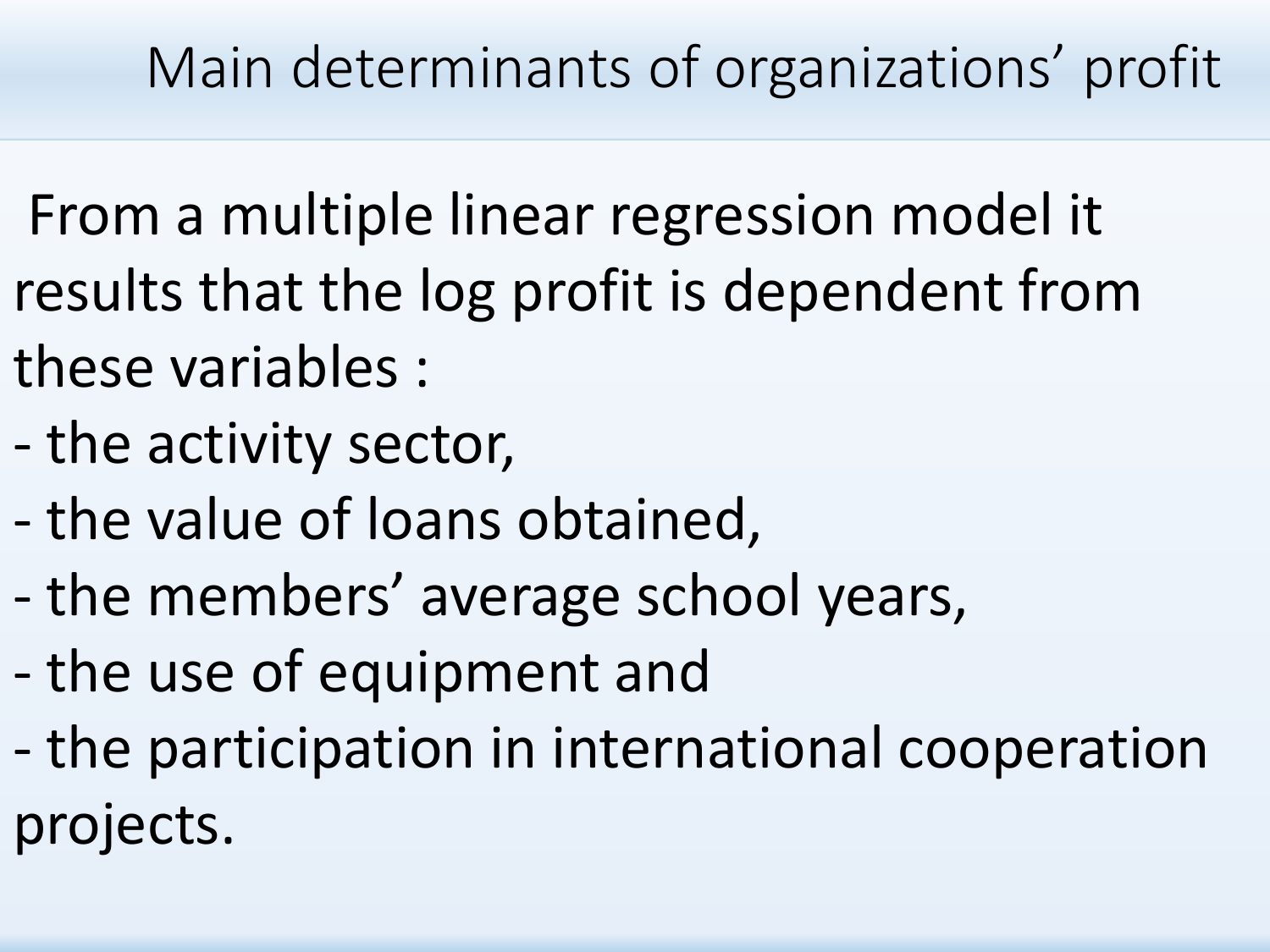Main determinants of organizations' profit

- From a multiple linear regression model it results that the log profit is dependent from these variables :
- the activity sector,
- the value of loans obtained,
- the members' average school years,
- the use of equipment and
- the participation in international cooperation projects.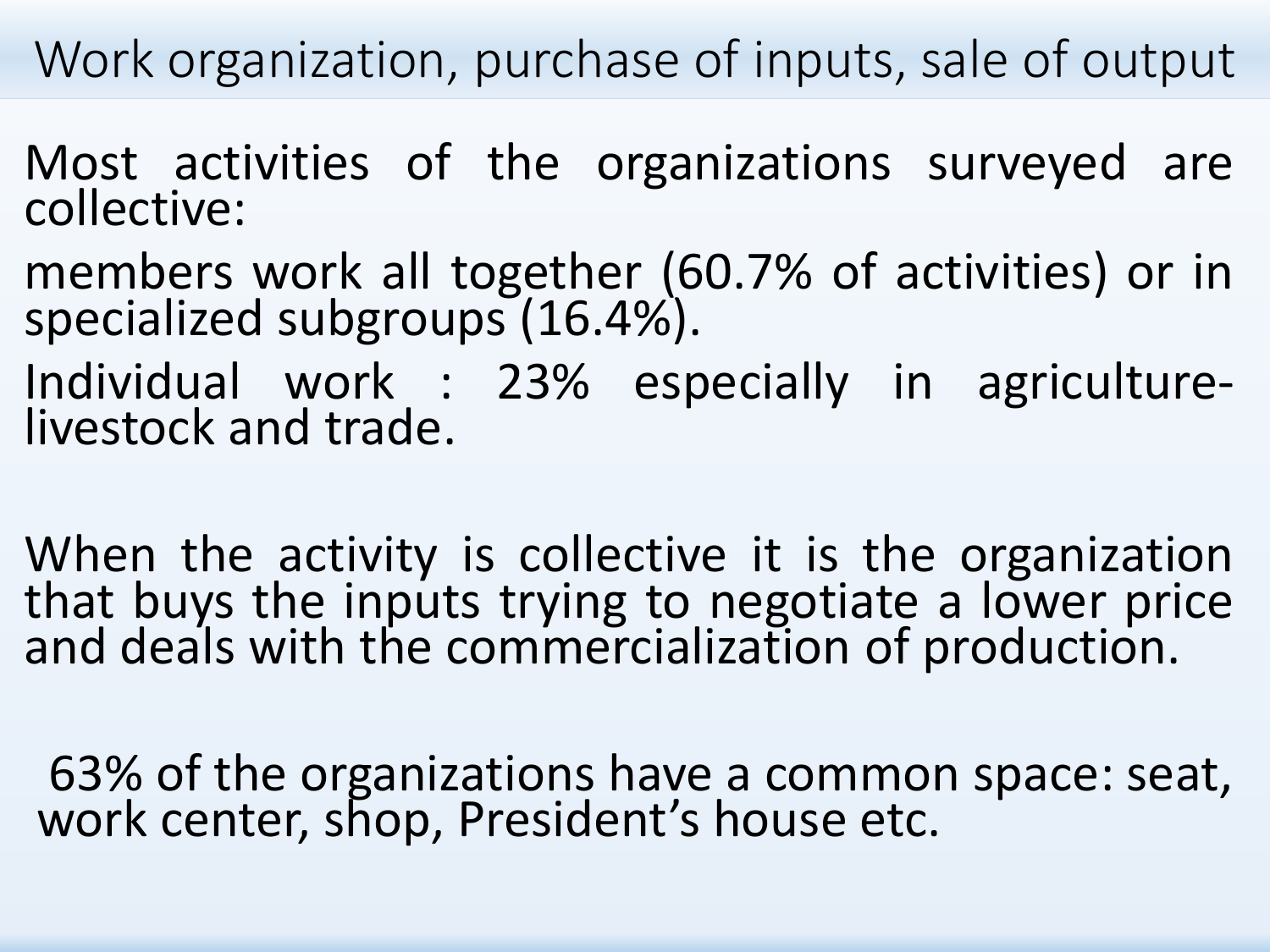Work organization, purchase of inputs, sale of output

- Most activities of the organizations surveyed are collective:
- members work all together (60.7% of activities) or in specialized subgroups (16.4%).
- Individual work : 23% especially in agriculturelivestock and trade.
- When the activity is collective it is the organization that buys the inputs trying to negotiate a lower price and deals with the commercialization of production.
- 63% of the organizations have a common space: seat, work center, shop, President's house etc.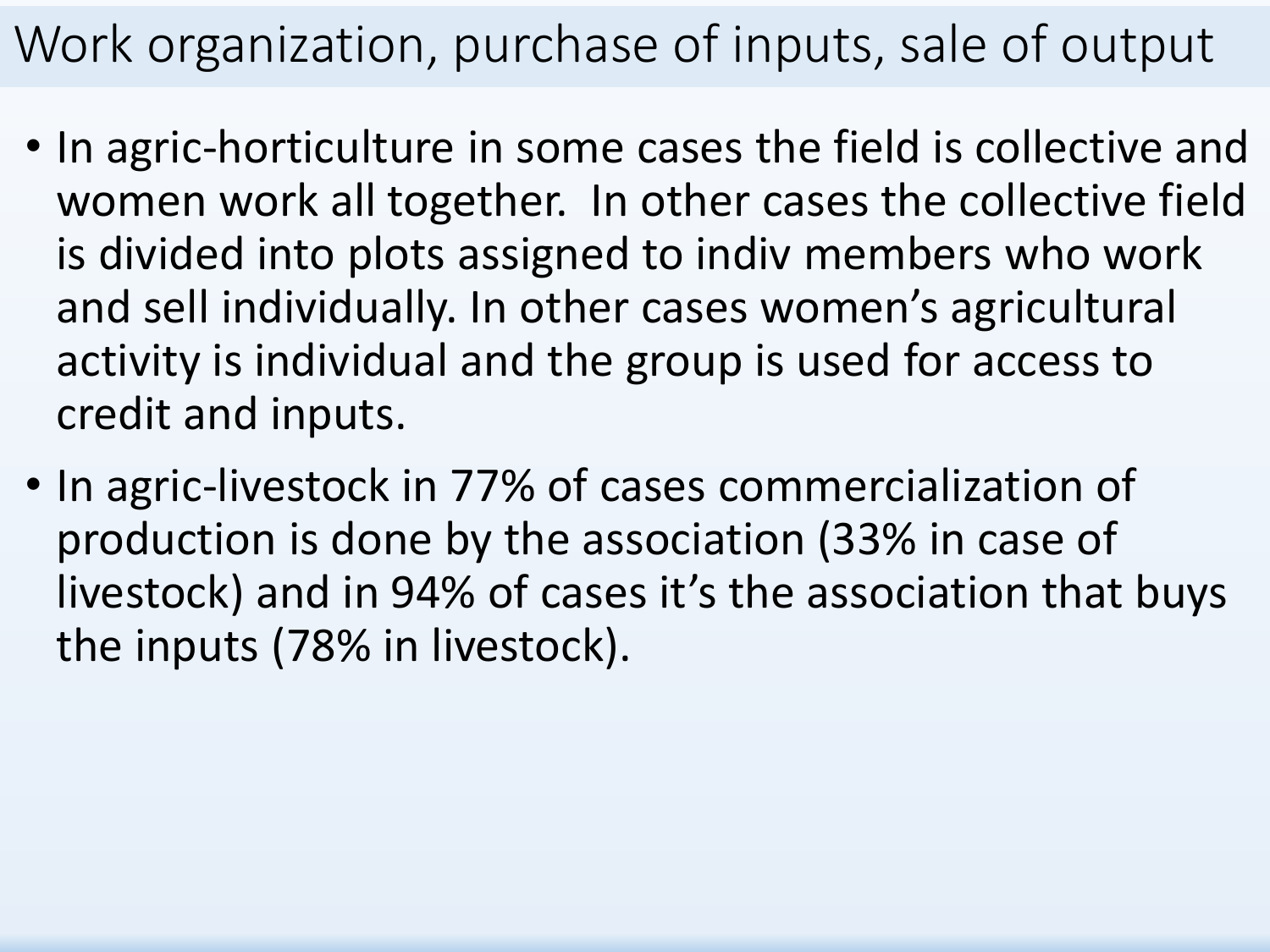### Work organization, purchase of inputs, sale of output

- In agric-horticulture in some cases the field is collective and women work all together. In other cases the collective field is divided into plots assigned to indiv members who work and sell individually. In other cases women's agricultural activity is individual and the group is used for access to credit and inputs.
- In agric-livestock in 77% of cases commercialization of production is done by the association (33% in case of livestock) and in 94% of cases it's the association that buys the inputs (78% in livestock).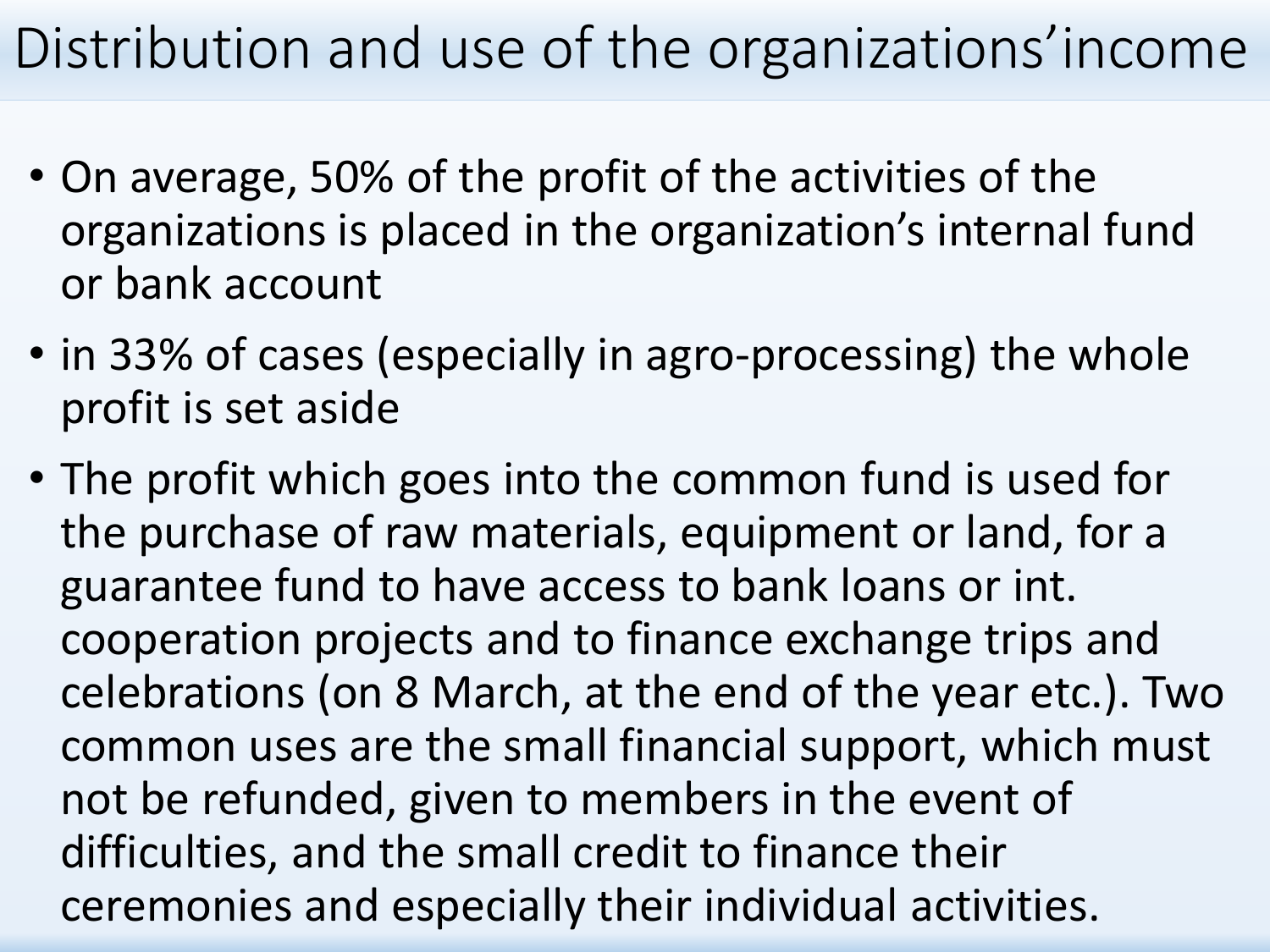### Distribution and use of the organizations'income

- On average, 50% of the profit of the activities of the organizations is placed in the organization's internal fund or bank account
- in 33% of cases (especially in agro-processing) the whole profit is set aside
- The profit which goes into the common fund is used for the purchase of raw materials, equipment or land, for a guarantee fund to have access to bank loans or int. cooperation projects and to finance exchange trips and celebrations (on 8 March, at the end of the year etc.). Two common uses are the small financial support, which must not be refunded, given to members in the event of difficulties, and the small credit to finance their ceremonies and especially their individual activities.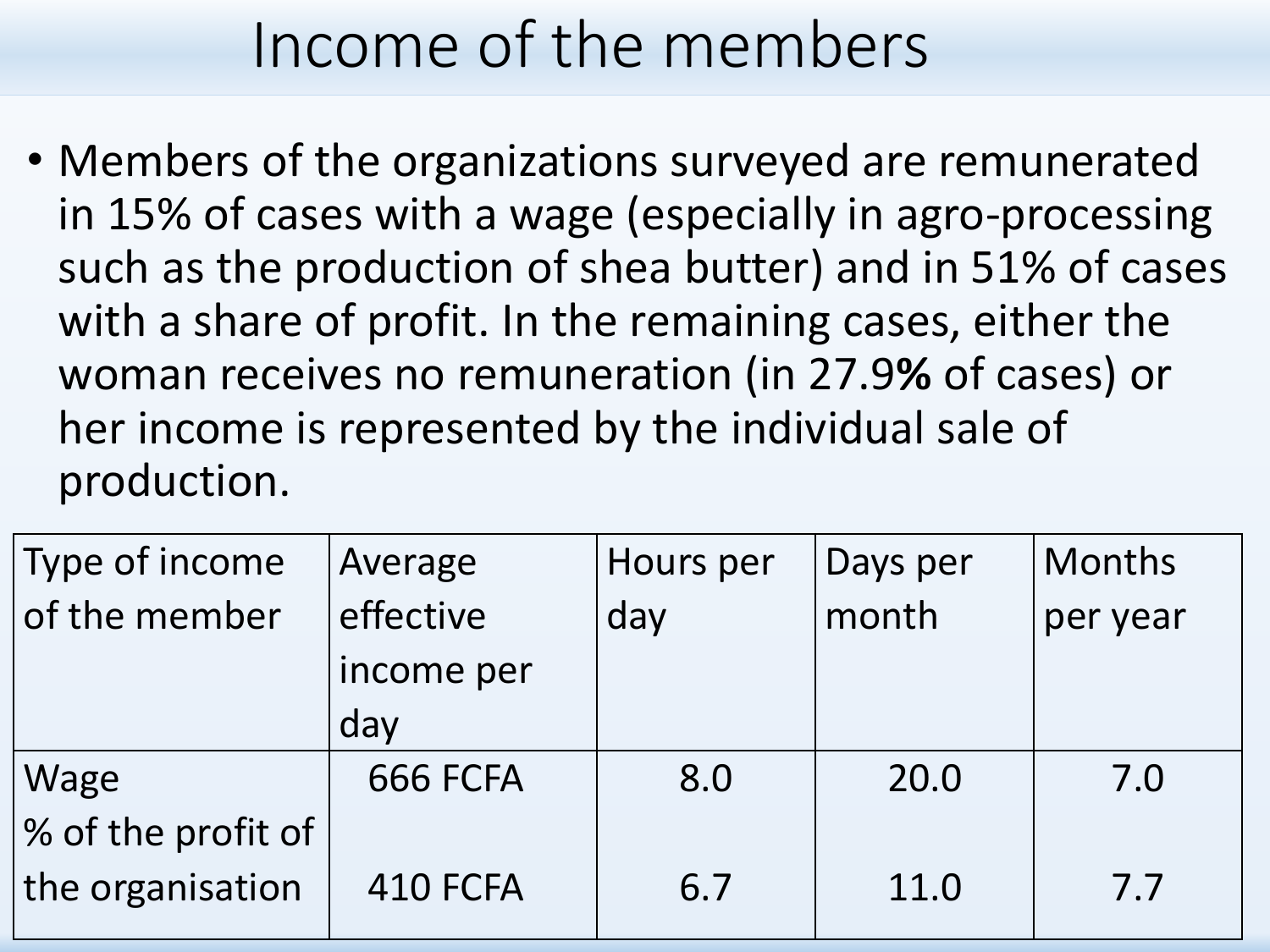## Income of the members

• Members of the organizations surveyed are remunerated in 15% of cases with a wage (especially in agro-processing such as the production of shea butter) and in 51% of cases with a share of profit. In the remaining cases, either the woman receives no remuneration (in 27.9**%** of cases) or her income is represented by the individual sale of production.

| Type of income     | Average    | Hours per | Days per | Months   |
|--------------------|------------|-----------|----------|----------|
| of the member      | effective  | day       | month    | per year |
|                    | income per |           |          |          |
|                    | day        |           |          |          |
| Wage               | 666 FCFA   | 8.0       | 20.0     | 7.0      |
| % of the profit of |            |           |          |          |
| the organisation   | 410 FCFA   | 6.7       | 11.0     | 7.7      |
|                    |            |           |          |          |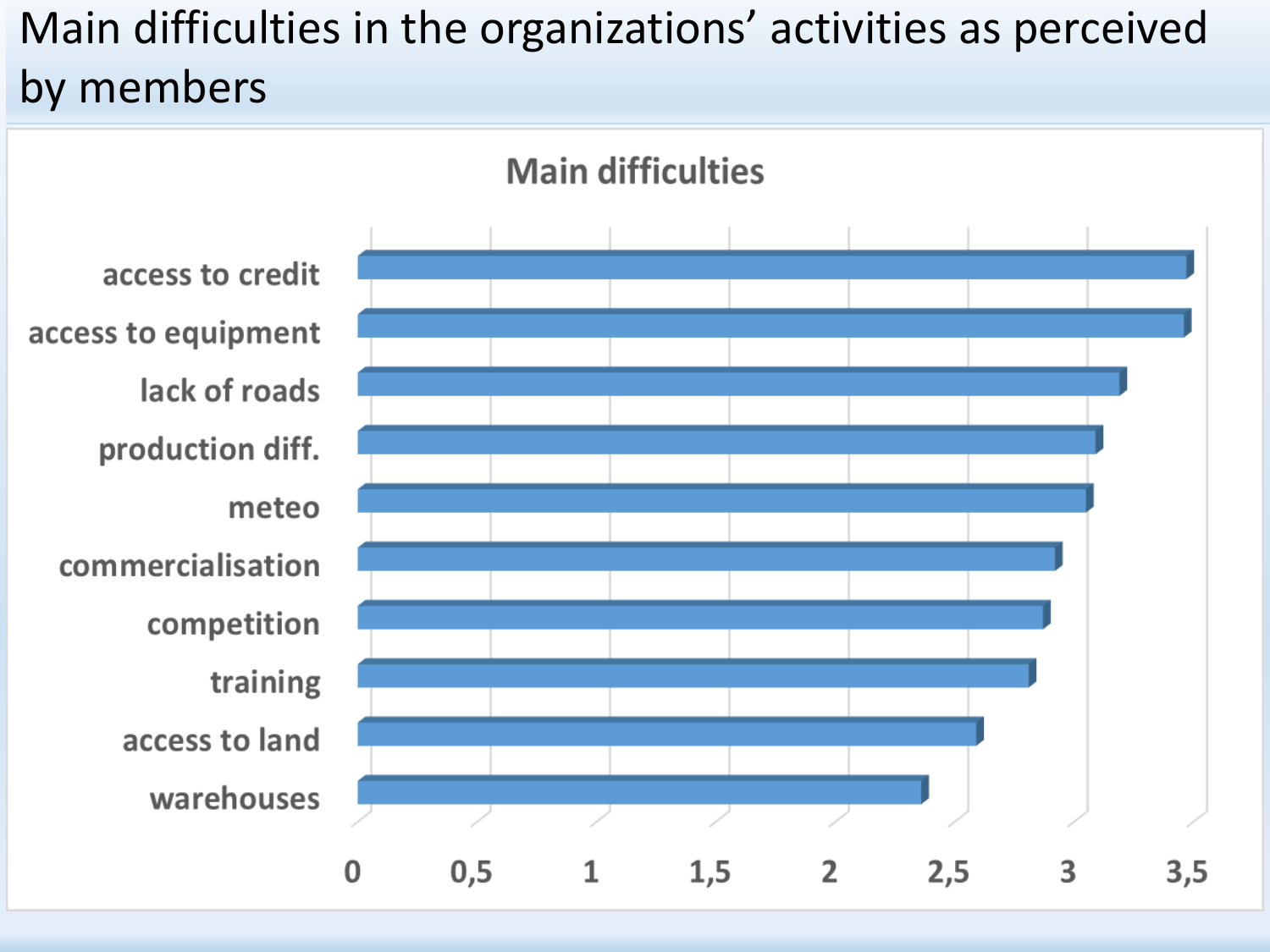#### Main difficulties in the organizations' activities as perceived by members

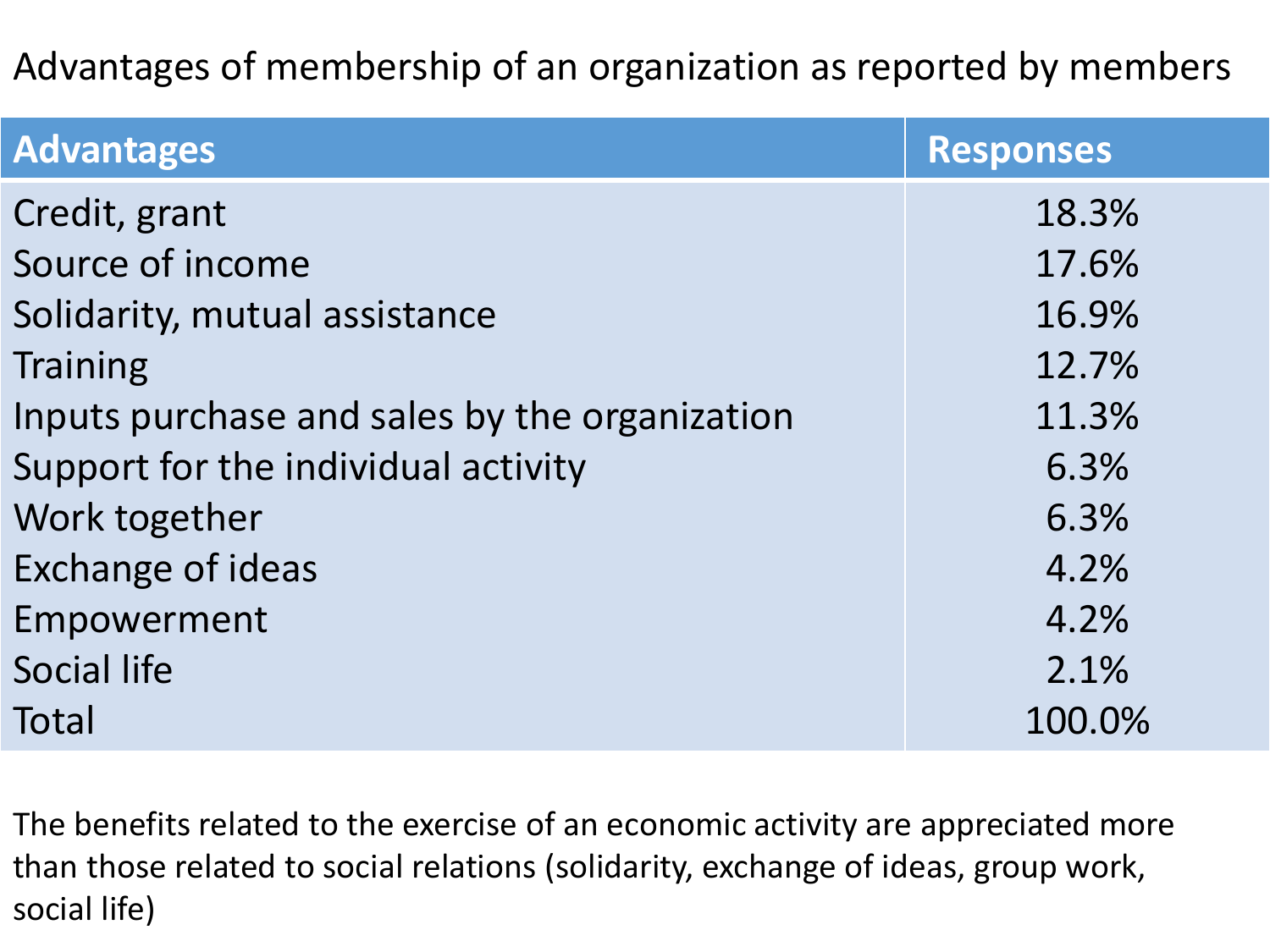#### Advantages of membership of an organization as reported by members

| <b>Advantages</b>                             | <b>Responses</b> |
|-----------------------------------------------|------------------|
| Credit, grant                                 | 18.3%            |
| Source of income                              | 17.6%            |
| Solidarity, mutual assistance                 | 16.9%            |
| <b>Training</b>                               | 12.7%            |
| Inputs purchase and sales by the organization | 11.3%            |
| Support for the individual activity           | 6.3%             |
| Work together                                 | 6.3%             |
| <b>Exchange of ideas</b>                      | 4.2%             |
| Empowerment                                   | 4.2%             |
| Social life                                   | 2.1%             |
| Total                                         | 100.0%           |

The benefits related to the exercise of an economic activity are appreciated more than those related to social relations (solidarity, exchange of ideas, group work, social life)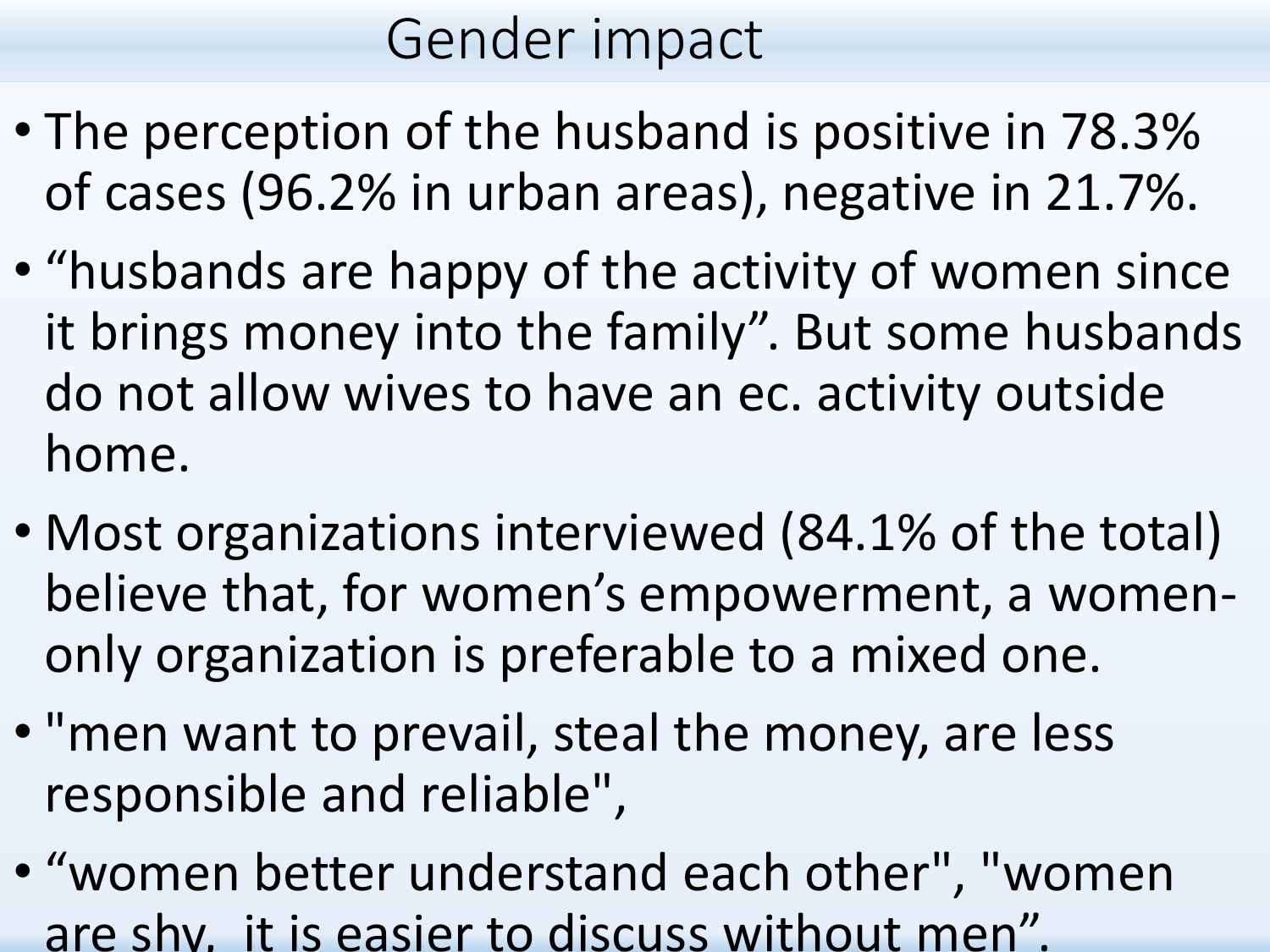### Gender impact

- The perception of the husband is positive in 78.3% of cases (96.2% in urban areas), negative in 21.7%.
- "husbands are happy of the activity of women since it brings money into the family". But some husbands do not allow wives to have an ec. activity outside home.
- Most organizations interviewed (84.1% of the total) believe that, for women's empowerment, a womenonly organization is preferable to a mixed one.
- "men want to prevail, steal the money, are less responsible and reliable",
- "women better understand each other", "women are shy, it is easier to discuss without men".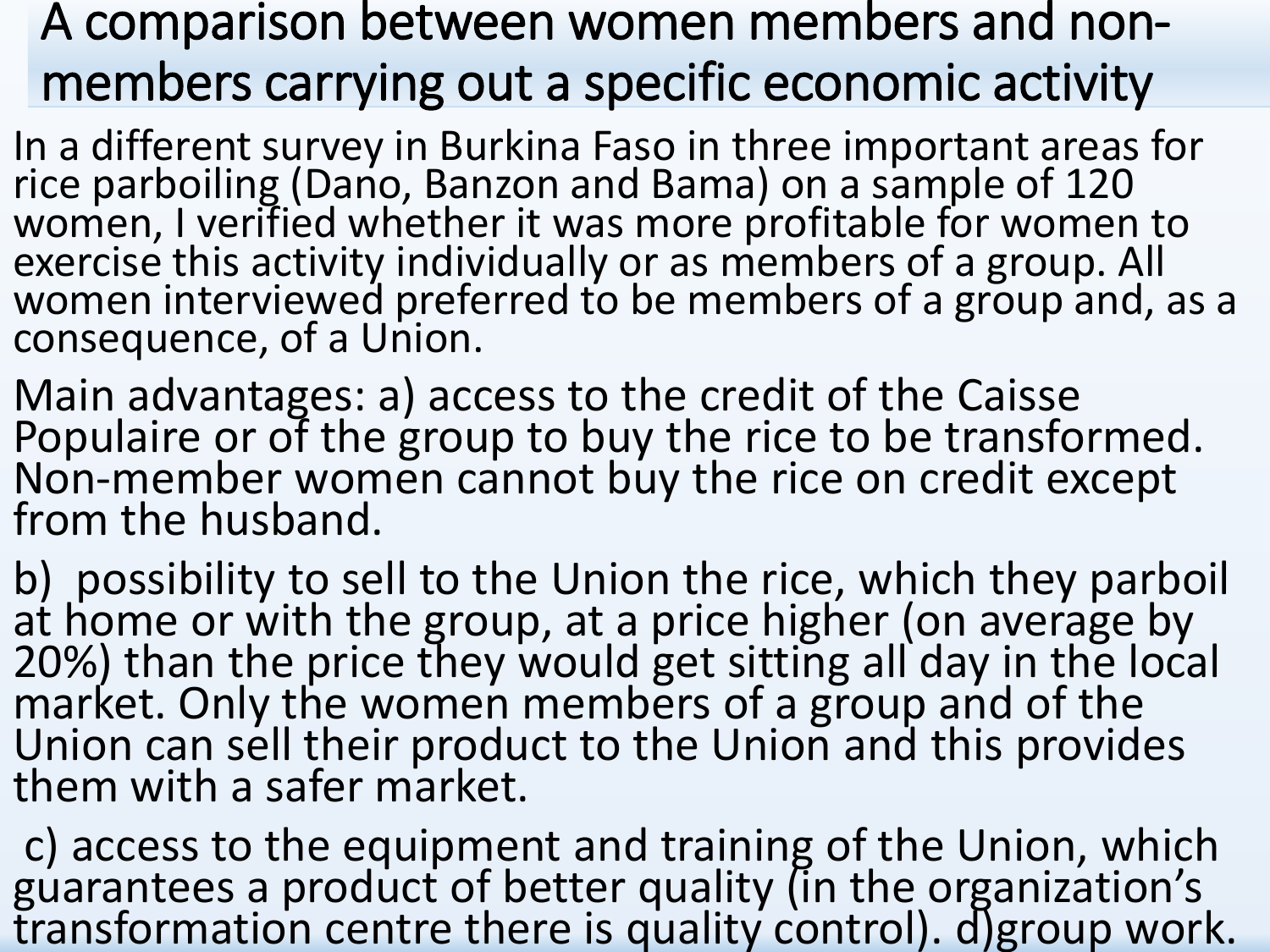#### A comparison between women members and nonmembers carrying out a specific economic activity

In a different survey in Burkina Faso in three important areas for rice parboiling (Dano, Banzon and Bama) on a sample of 120 women, I verified whether it was more profitable for women to exercise this activity individually or as members of a group. All women interviewed preferred to be members of a group and, as a consequence, of a Union.

Main advantages: a) access to the credit of the Caisse Populaire or of the group to buy the rice to be transformed. Non-member women cannot buy the rice on credit except from the husband.

b) possibility to sell to the Union the rice, which they parboil at home or with the group, at a price higher (on average by 20%) than the price they would get sitting all day in the local market. Only the women members of a group and of the Union can sell their product to the Union and this provides them with a safer market.

c) access to the equipment and training of the Union, which guarantees a product of better quality (in the organization's transformation centre there is quality control). d)group work.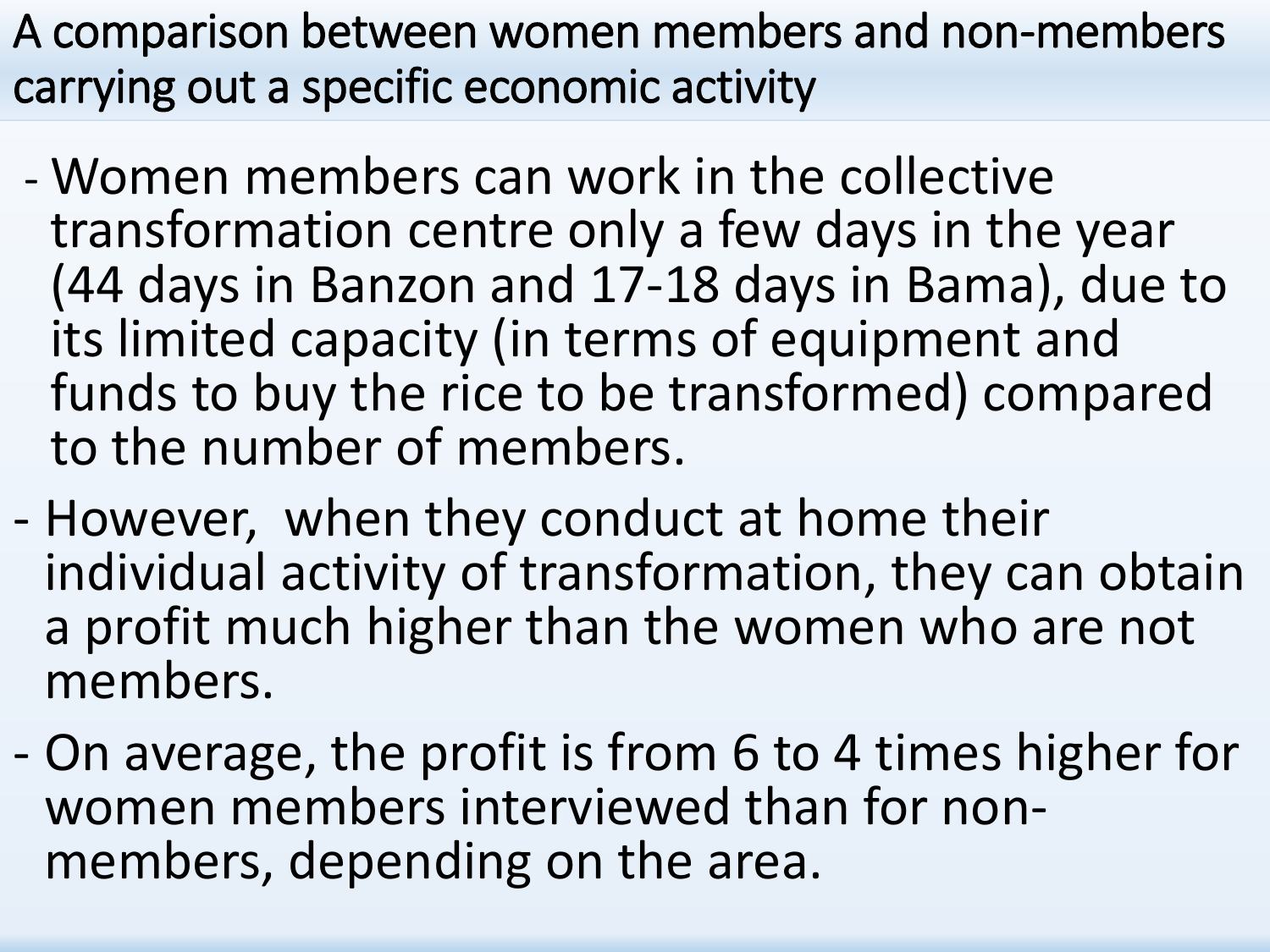A comparison between women members and non-members carrying out a specific economic activity

- Women members can work in the collective transformation centre only a few days in the year (44 days in Banzon and 17-18 days in Bama), due to its limited capacity (in terms of equipment and funds to buy the rice to be transformed) compared to the number of members.
- However, when they conduct at home their individual activity of transformation, they can obtain a profit much higher than the women who are not members.
- On average, the profit is from 6 to 4 times higher for women members interviewed than for nonmembers, depending on the area.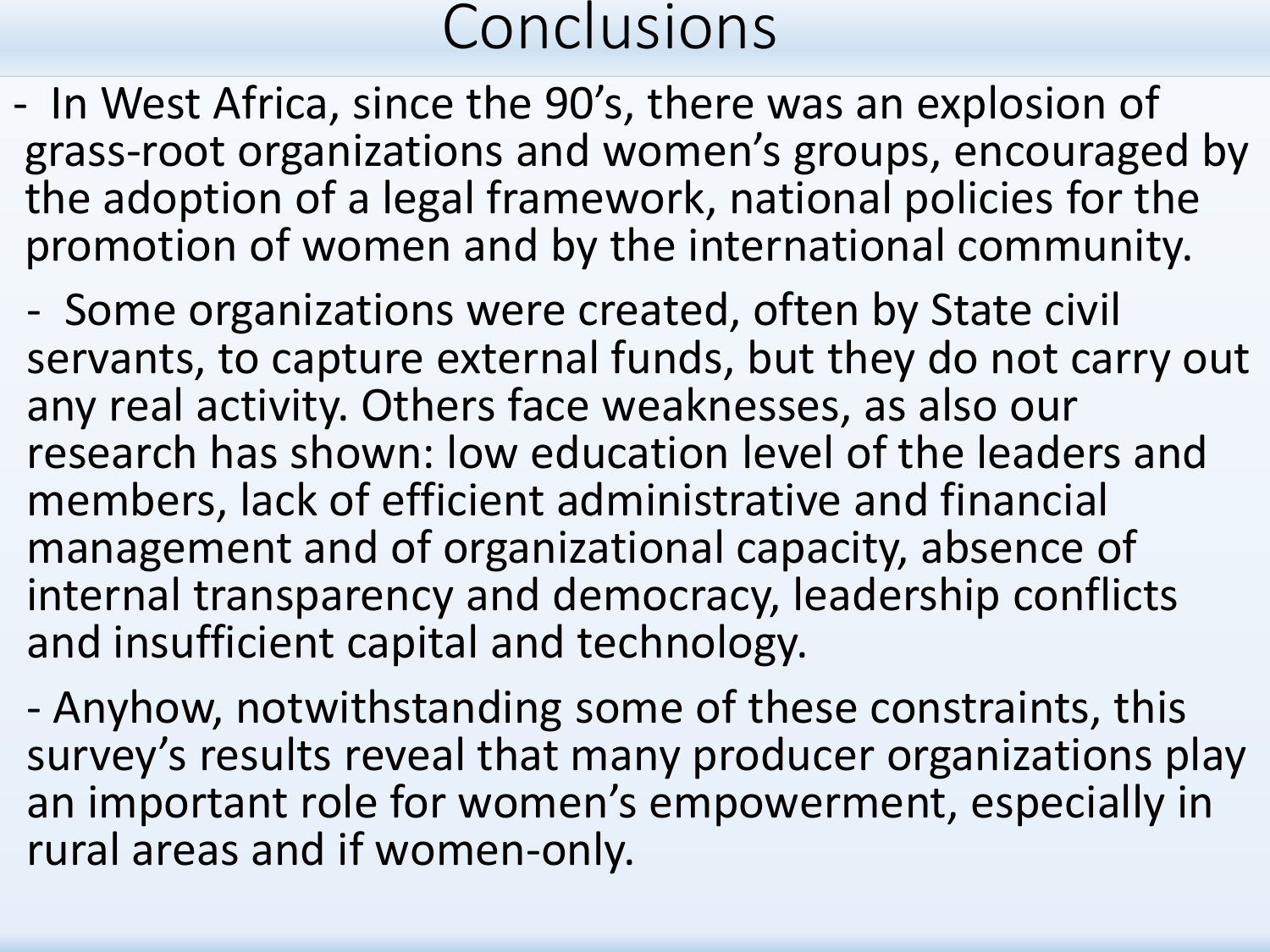- In West Africa, since the 90's, there was an explosion of grass-root organizations and women's groups, encouraged by the adoption of a legal framework, national policies for the promotion of women and by the international community.

- Some organizations were created, often by State civil servants, to capture external funds, but they do not carry out any real activity. Others face weaknesses, as also our research has shown: low education level of the leaders and members, lack of efficient administrative and financial management and of organizational capacity, absence of internal transparency and democracy, leadership conflicts and insufficient capital and technology.

- Anyhow, notwithstanding some of these constraints, this survey's results reveal that many producer organizations play an important role for women's empowerment, especially in rural areas and if women-only.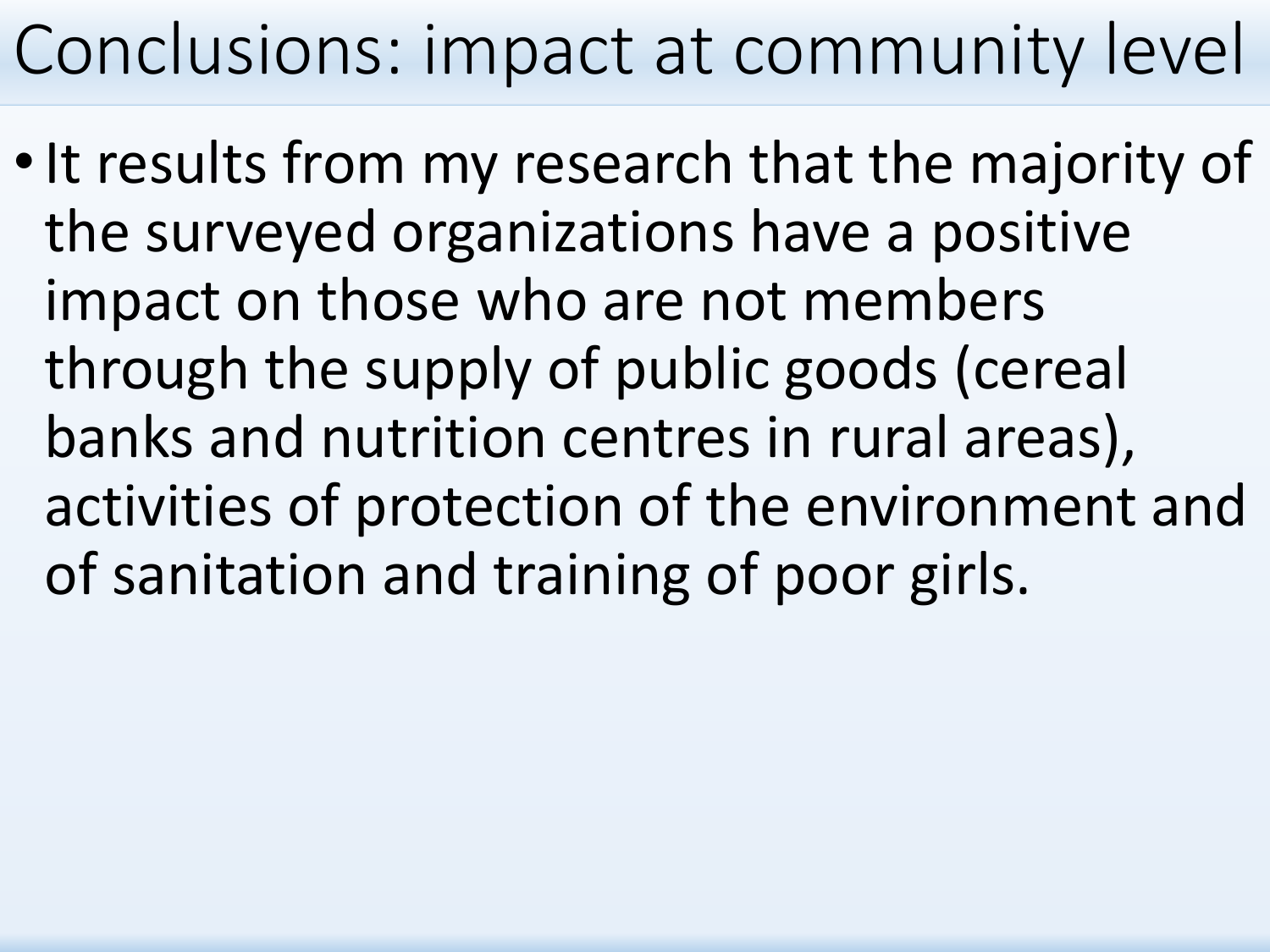# Conclusions: impact at community level

• It results from my research that the majority of the surveyed organizations have a positive impact on those who are not members through the supply of public goods (cereal banks and nutrition centres in rural areas), activities of protection of the environment and of sanitation and training of poor girls.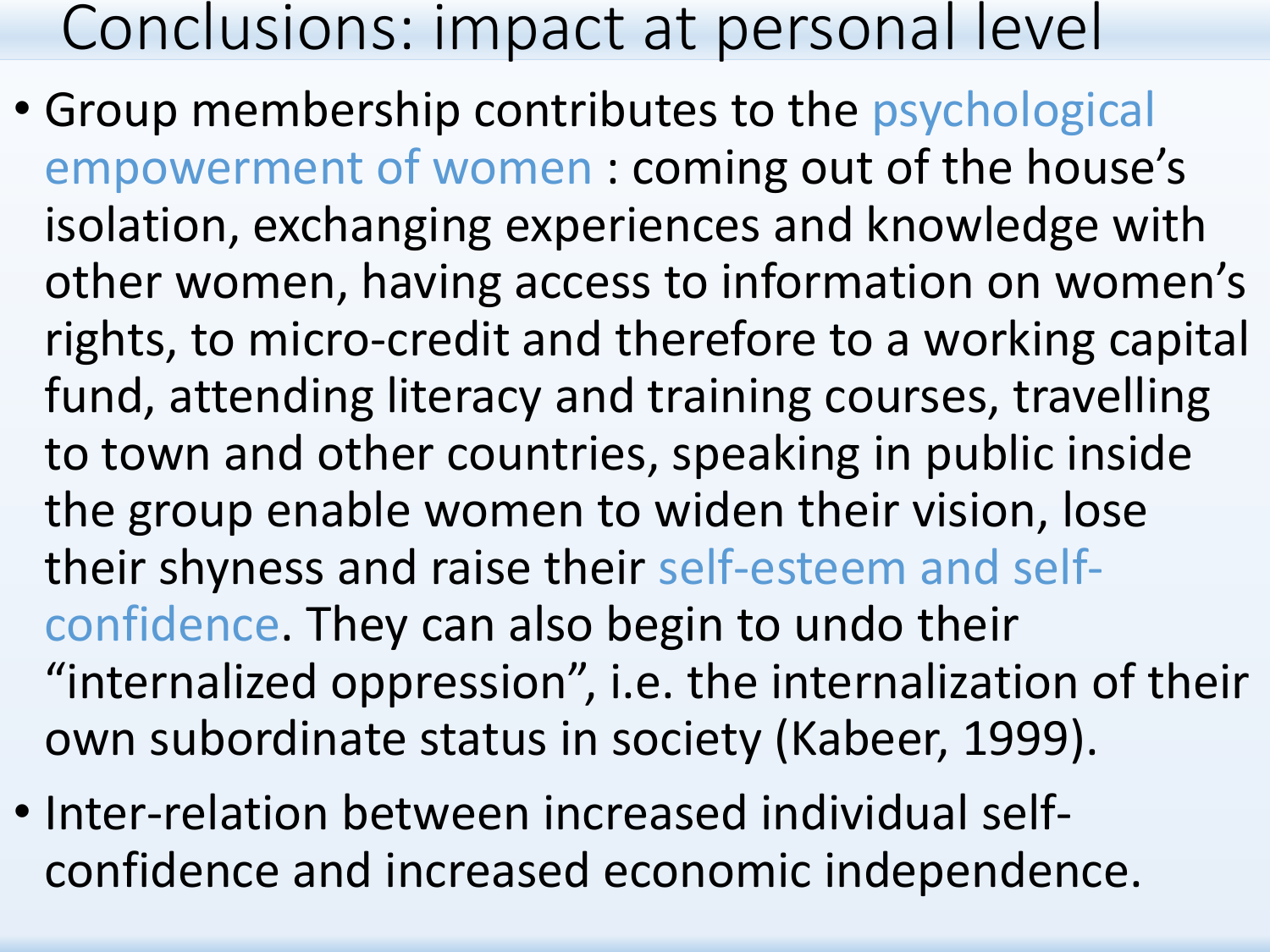### Conclusions: impact at personal level

- Group membership contributes to the psychological empowerment of women : coming out of the house's isolation, exchanging experiences and knowledge with other women, having access to information on women's rights, to micro-credit and therefore to a working capital fund, attending literacy and training courses, travelling to town and other countries, speaking in public inside the group enable women to widen their vision, lose their shyness and raise their self-esteem and selfconfidence. They can also begin to undo their "internalized oppression", i.e. the internalization of their own subordinate status in society (Kabeer, 1999).
- Inter-relation between increased individual selfconfidence and increased economic independence.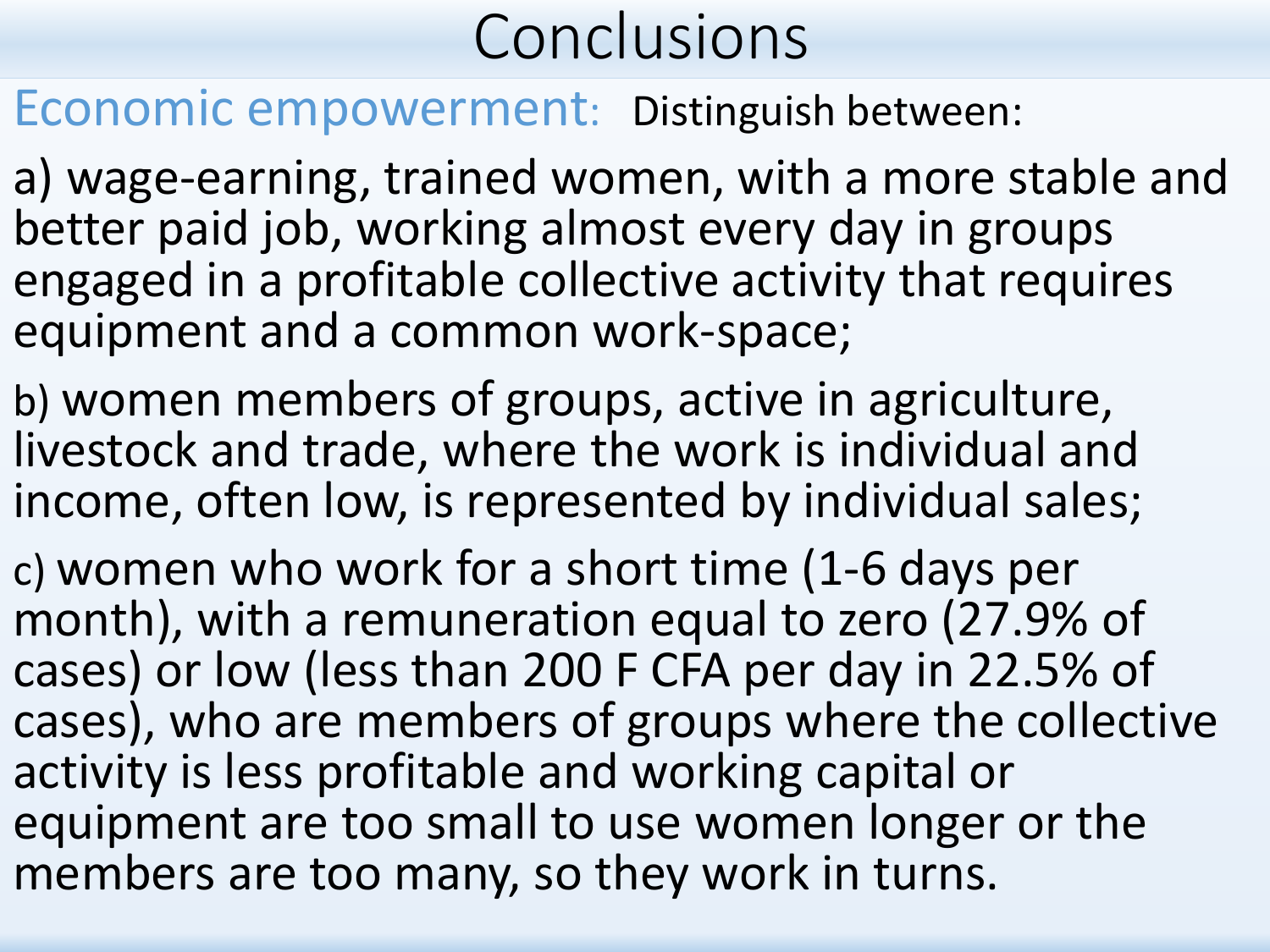Economic empowerment: Distinguish between:

a) wage-earning, trained women, with a more stable and better paid job, working almost every day in groups engaged in a profitable collective activity that requires equipment and a common work-space;

b) women members of groups, active in agriculture, livestock and trade, where the work is individual and income, often low, is represented by individual sales;

c) women who work for a short time (1-6 days per month), with a remuneration equal to zero (27.9% of cases) or low (less than 200 F CFA per day in 22.5% of cases), who are members of groups where the collective activity is less profitable and working capital or equipment are too small to use women longer or the members are too many, so they work in turns.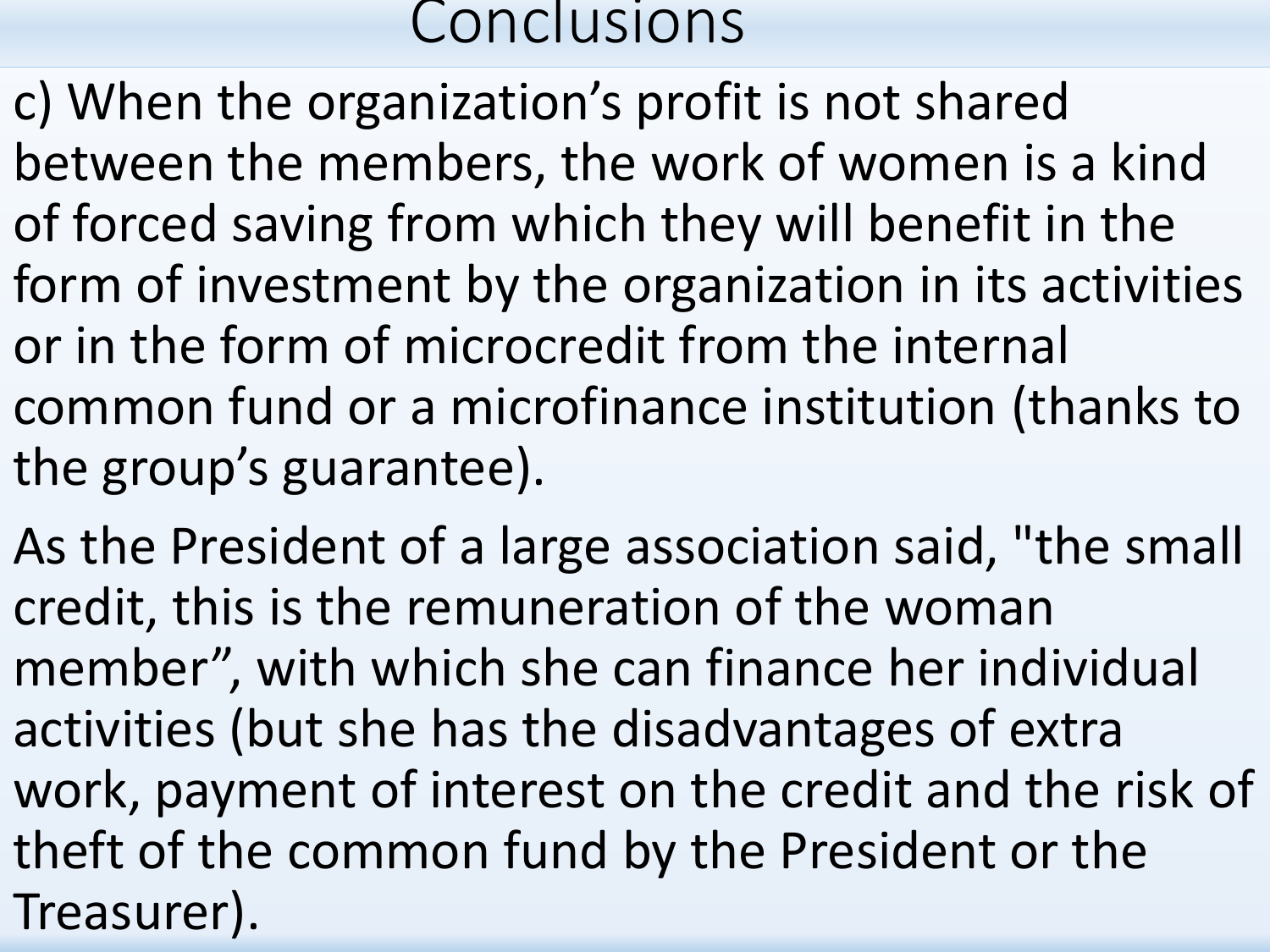- c) When the organization's profit is not shared between the members, the work of women is a kind of forced saving from which they will benefit in the form of investment by the organization in its activities or in the form of microcredit from the internal common fund or a microfinance institution (thanks to the group's guarantee).
- As the President of a large association said, "the small credit, this is the remuneration of the woman member", with which she can finance her individual activities (but she has the disadvantages of extra work, payment of interest on the credit and the risk of theft of the common fund by the President or the Treasurer).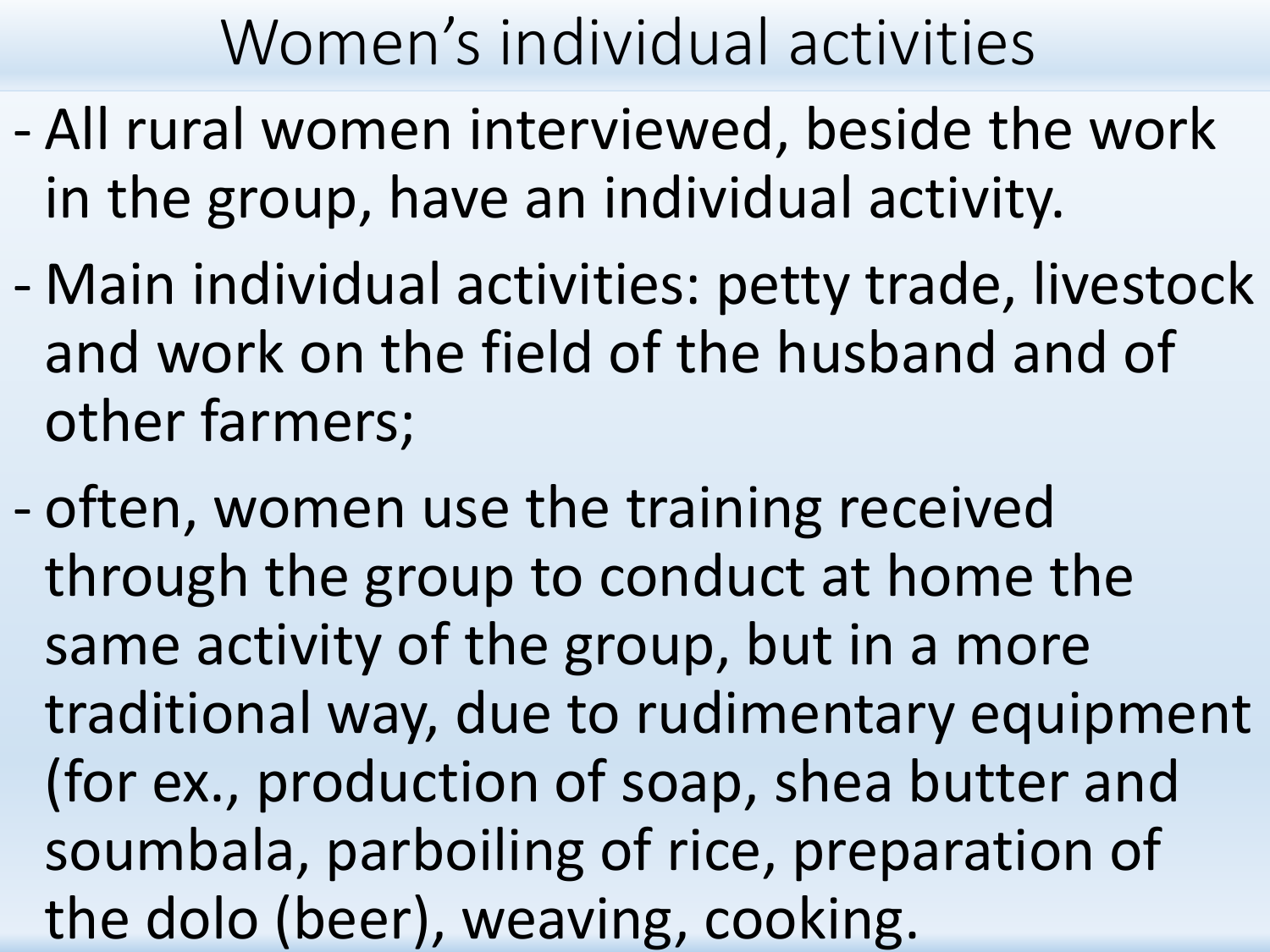## Women's individual activities

- All rural women interviewed, beside the work in the group, have an individual activity.
- Main individual activities: petty trade, livestock and work on the field of the husband and of other farmers;
- often, women use the training received through the group to conduct at home the same activity of the group, but in a more traditional way, due to rudimentary equipment (for ex., production of soap, shea butter and soumbala, parboiling of rice, preparation of the dolo (beer), weaving, cooking.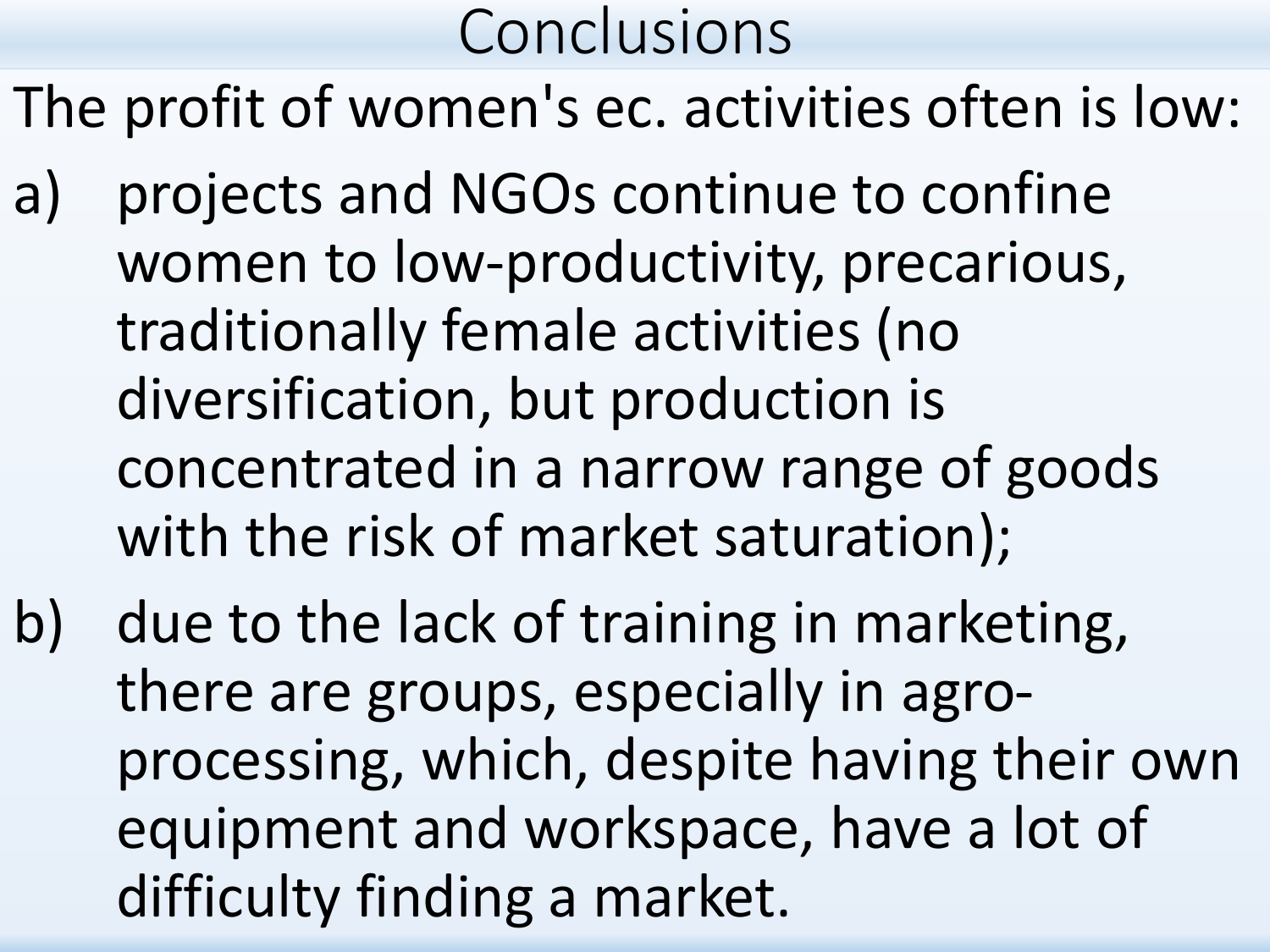The profit of women's ec. activities often is low:

- a) projects and NGOs continue to confine women to low-productivity, precarious, traditionally female activities (no diversification, but production is concentrated in a narrow range of goods with the risk of market saturation);
- b) due to the lack of training in marketing, there are groups, especially in agroprocessing, which, despite having their own equipment and workspace, have a lot of difficulty finding a market.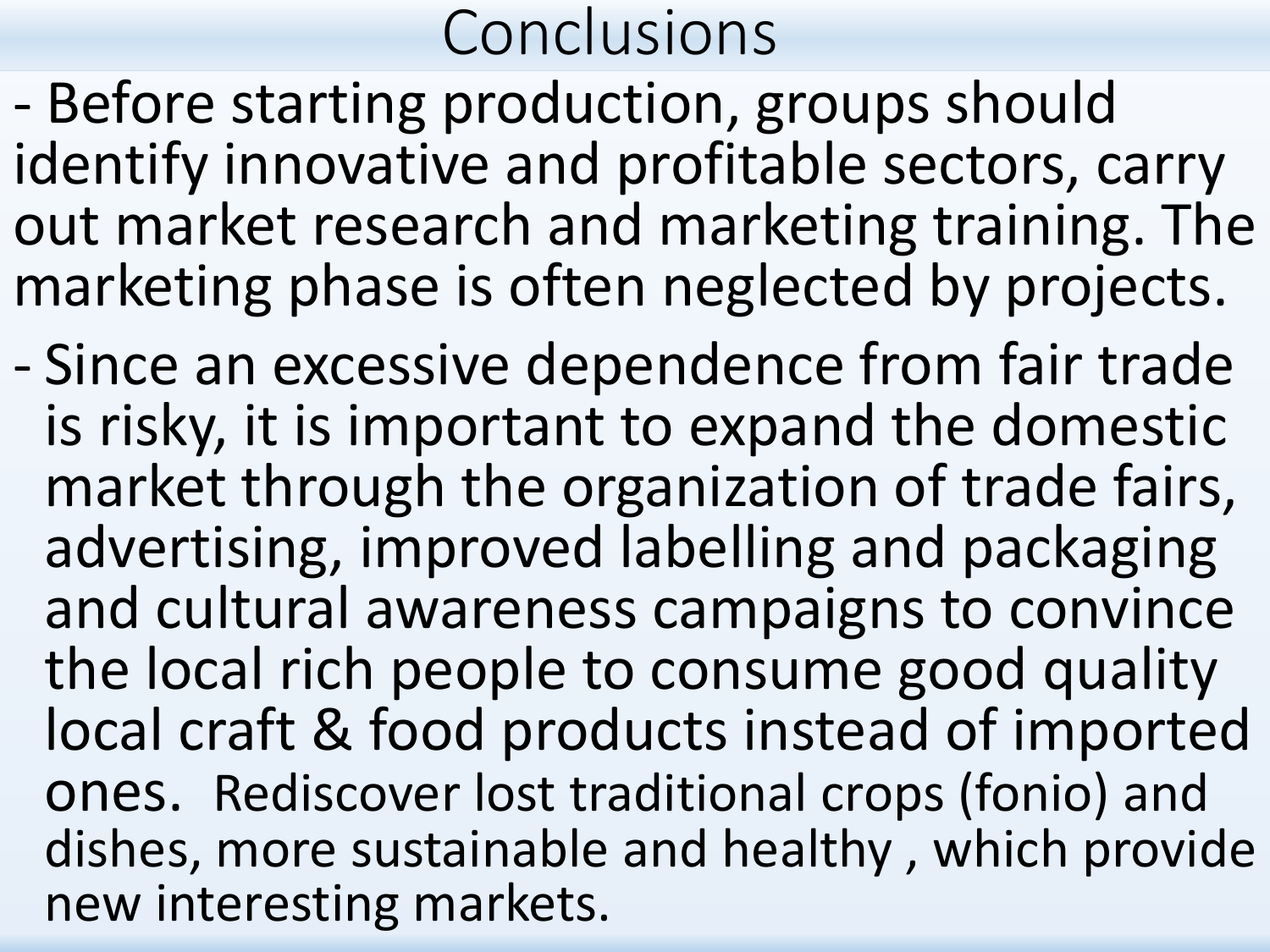- Before starting production, groups should identify innovative and profitable sectors, carry out market research and marketing training. The marketing phase is often neglected by projects.
- Since an excessive dependence from fair trade is risky, it is important to expand the domestic market through the organization of trade fairs, advertising, improved labelling and packaging and cultural awareness campaigns to convince the local rich people to consume good quality local craft & food products instead of imported ones. Rediscover lost traditional crops (fonio) and dishes, more sustainable and healthy , which provide new interesting markets.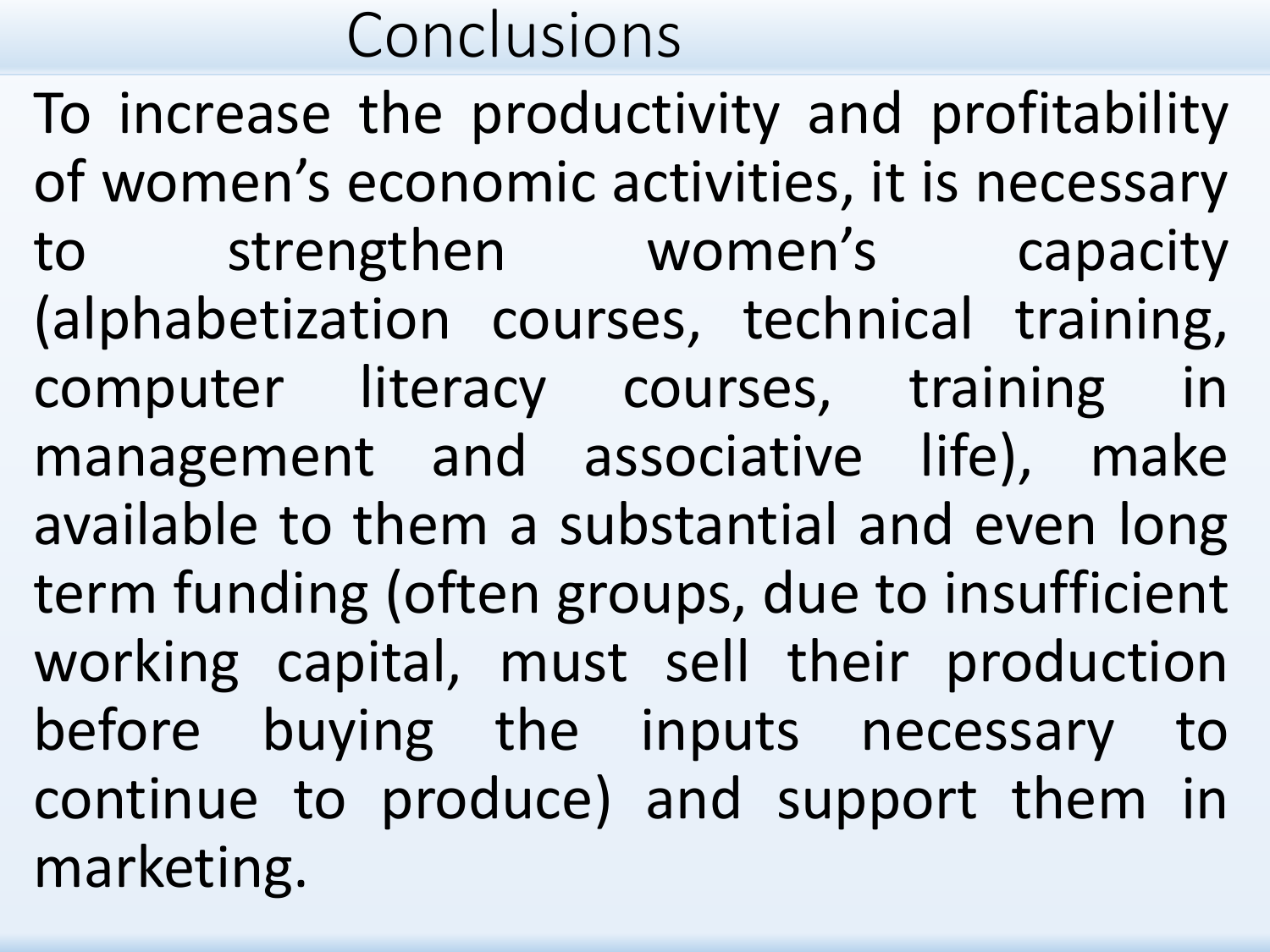To increase the productivity and profitability of women's economic activities, it is necessary to strengthen women's capacity (alphabetization courses, technical training, computer literacy courses, training in management and associative life), make available to them a substantial and even long term funding (often groups, due to insufficient working capital, must sell their production before buying the inputs necessary to continue to produce) and support them in marketing.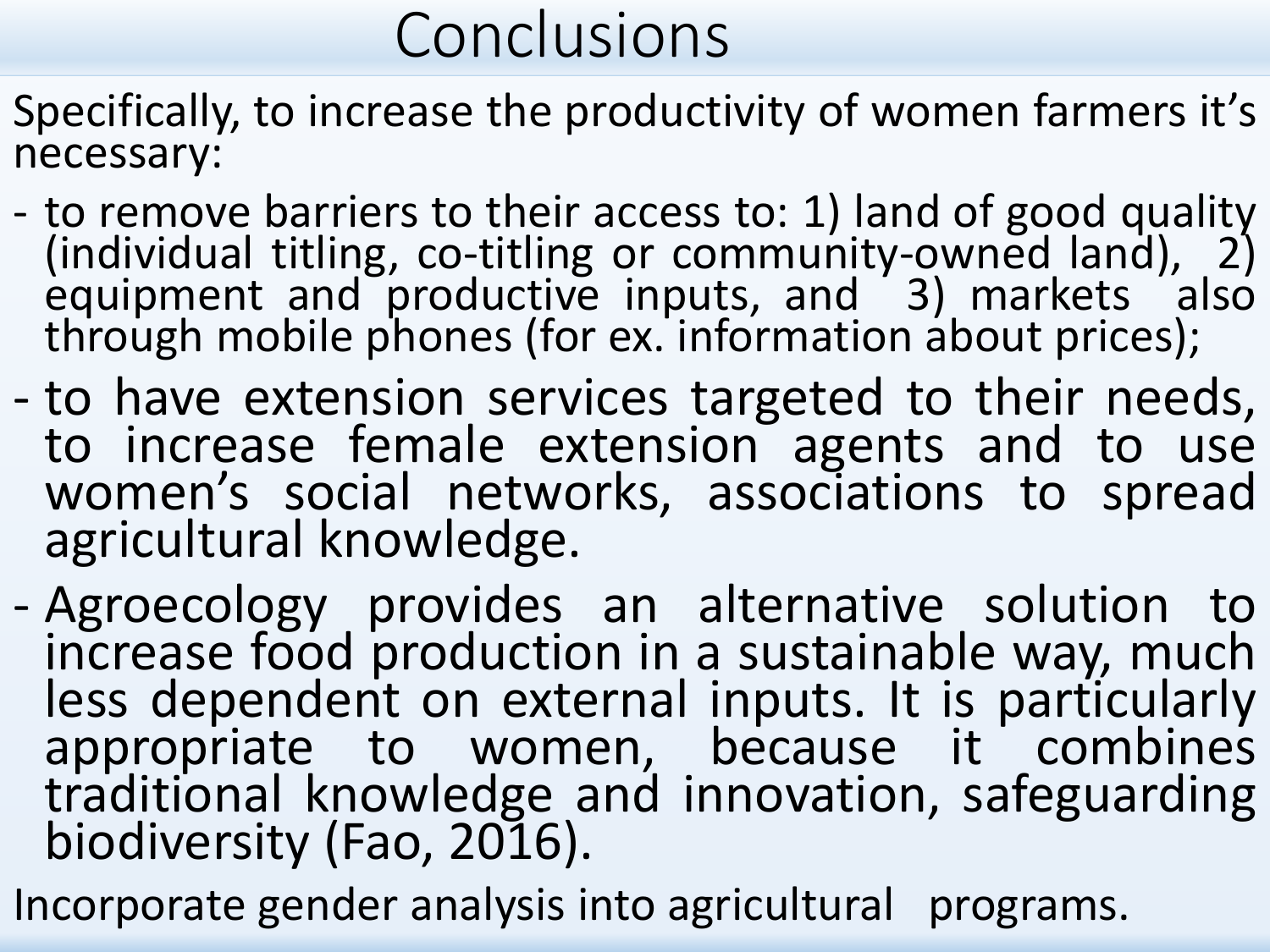- Specifically, to increase the productivity of women farmers it's necessary:
- to remove barriers to their access to: 1) land of good quality (individual titling, co-titling or community-owned land), 2) equipment and productive inputs, and 3) markets also through mobile phones (for ex. information about prices);
- to have extension services targeted to their needs, to increase female extension agents and to use women's social networks, associations to spread agricultural knowledge.
- Agroecology provides an alternative solution to increase food production in a sustainable way, much less dependent on external inputs. It is particularly appropriate to women, because it combines traditional knowledge and innovation, safeguarding biodiversity (Fao, 2016).
- Incorporate gender analysis into agricultural programs.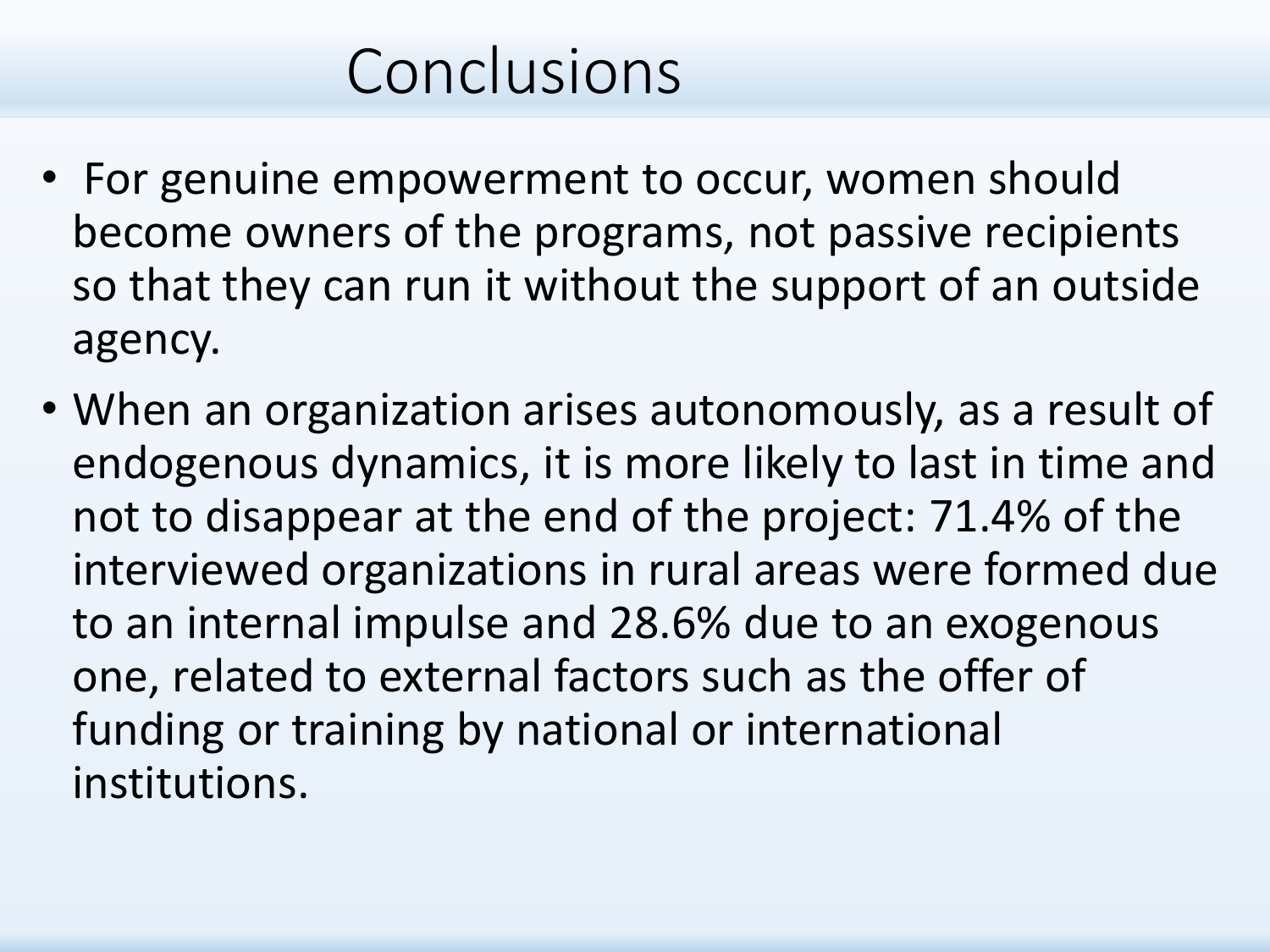- For genuine empowerment to occur, women should become owners of the programs, not passive recipients so that they can run it without the support of an outside agency.
- When an organization arises autonomously, as a result of endogenous dynamics, it is more likely to last in time and not to disappear at the end of the project: 71.4% of the interviewed organizations in rural areas were formed due to an internal impulse and 28.6% due to an exogenous one, related to external factors such as the offer of funding or training by national or international institutions.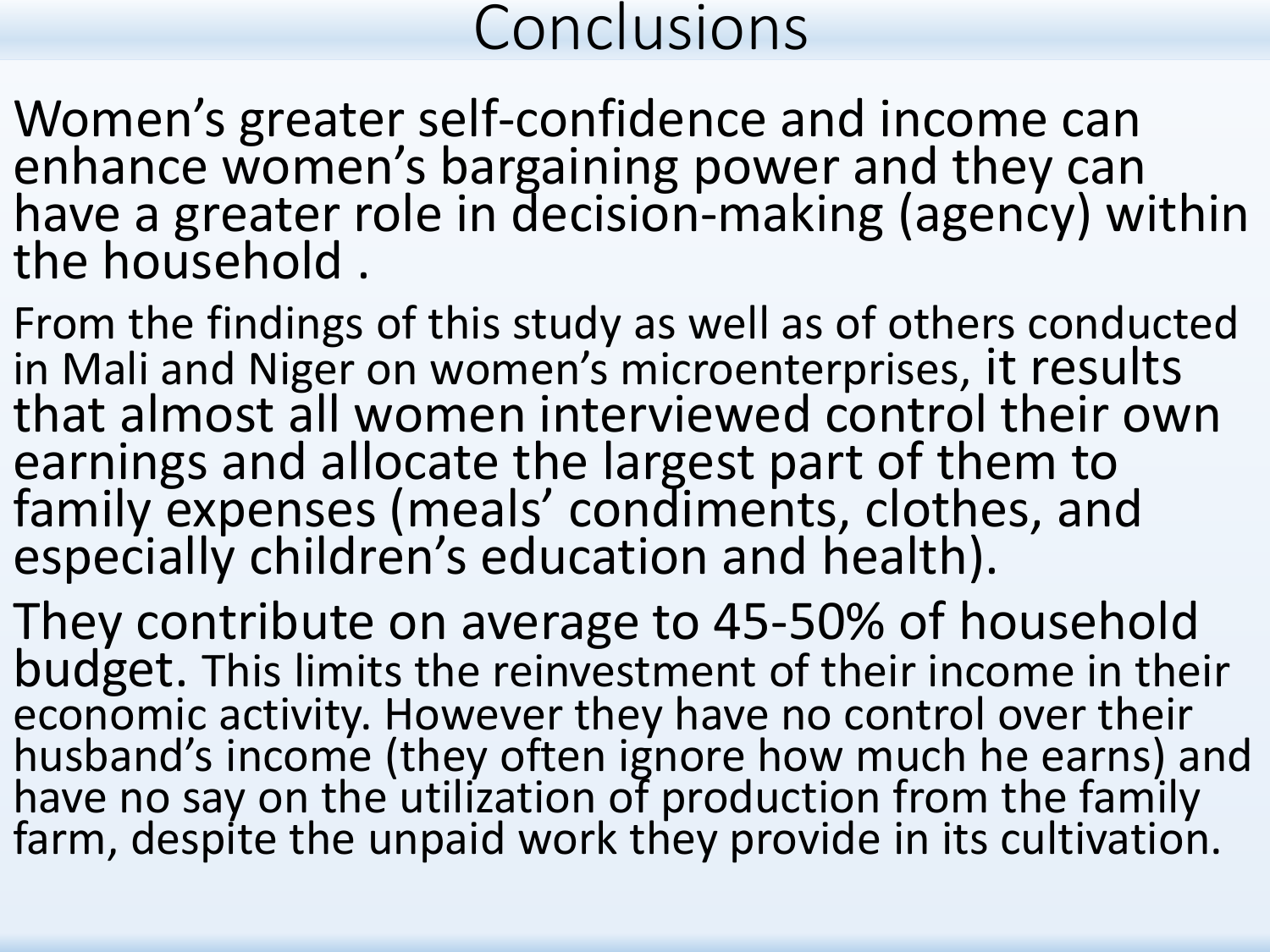Women's greater self-confidence and income can enhance women's bargaining power and they can have a greater role in decision-making (agency) within the household .

From the findings of this study as well as of others conducted in Mali and Niger on women's microenterprises, it results that almost all women interviewed control their own earnings and allocate the largest part of them to family expenses (meals' condiments, clothes, and especially children's education and health).

They contribute on average to 45-50% of household budget. This limits the reinvestment of their income in their economic activity. However they have no control over their husband's income (they often ignore how much he earns) and have no say on the utilization of production from the family farm, despite the unpaid work they provide in its cultivation.